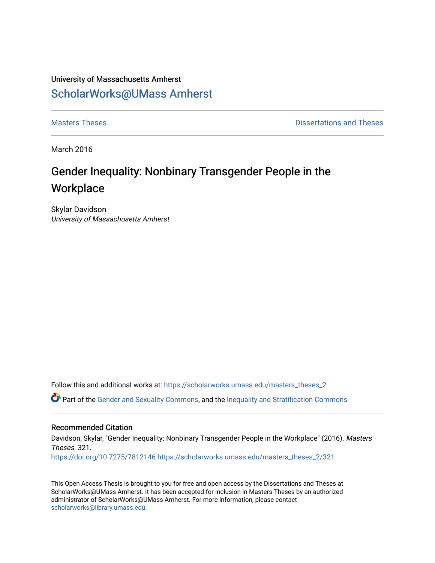## University of Massachusetts Amherst [ScholarWorks@UMass Amherst](https://scholarworks.umass.edu/)

**[Masters Theses](https://scholarworks.umass.edu/masters_theses_2) Contract Contract Contract Contract Contract Contract Contract Contract Contract Contract Contract Contract Contract Contract Contract Contract Contract Contract Contract Contract Contract Contract Contra** 

March 2016

# Gender Inequality: Nonbinary Transgender People in the **Workplace**

Skylar Davidson University of Massachusetts Amherst

Follow this and additional works at: [https://scholarworks.umass.edu/masters\\_theses\\_2](https://scholarworks.umass.edu/masters_theses_2?utm_source=scholarworks.umass.edu%2Fmasters_theses_2%2F321&utm_medium=PDF&utm_campaign=PDFCoverPages) 

Part of the [Gender and Sexuality Commons](http://network.bepress.com/hgg/discipline/420?utm_source=scholarworks.umass.edu%2Fmasters_theses_2%2F321&utm_medium=PDF&utm_campaign=PDFCoverPages), and the [Inequality and Stratification Commons](http://network.bepress.com/hgg/discipline/421?utm_source=scholarworks.umass.edu%2Fmasters_theses_2%2F321&utm_medium=PDF&utm_campaign=PDFCoverPages)

## Recommended Citation

Davidson, Skylar, "Gender Inequality: Nonbinary Transgender People in the Workplace" (2016). Masters Theses. 321. <https://doi.org/10.7275/7812146> [https://scholarworks.umass.edu/masters\\_theses\\_2/321](https://scholarworks.umass.edu/masters_theses_2/321?utm_source=scholarworks.umass.edu%2Fmasters_theses_2%2F321&utm_medium=PDF&utm_campaign=PDFCoverPages)

This Open Access Thesis is brought to you for free and open access by the Dissertations and Theses at ScholarWorks@UMass Amherst. It has been accepted for inclusion in Masters Theses by an authorized administrator of ScholarWorks@UMass Amherst. For more information, please contact [scholarworks@library.umass.edu.](mailto:scholarworks@library.umass.edu)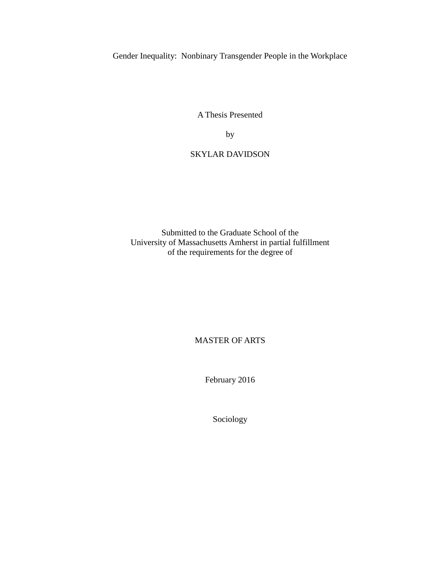Gender Inequality: Nonbinary Transgender People in the Workplace

A Thesis Presented

by

## SKYLAR DAVIDSON

Submitted to the Graduate School of the University of Massachusetts Amherst in partial fulfillment of the requirements for the degree of

MASTER OF ARTS

February 2016

Sociology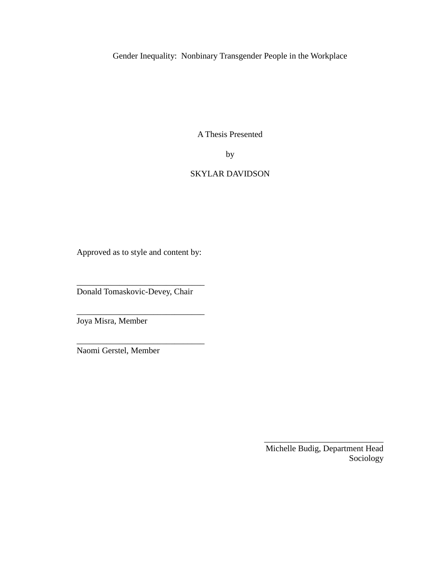Gender Inequality: Nonbinary Transgender People in the Workplace

A Thesis Presented

by

## SKYLAR DAVIDSON

Approved as to style and content by:

\_\_\_\_\_\_\_\_\_\_\_\_\_\_\_\_\_\_\_\_\_\_\_\_\_\_\_\_\_\_

\_\_\_\_\_\_\_\_\_\_\_\_\_\_\_\_\_\_\_\_\_\_\_\_\_\_\_\_\_\_

\_\_\_\_\_\_\_\_\_\_\_\_\_\_\_\_\_\_\_\_\_\_\_\_\_\_\_\_\_\_

Donald Tomaskovic-Devey, Chair

Joya Misra, Member

Naomi Gerstel, Member

Michelle Budig, Department Head Sociology

\_\_\_\_\_\_\_\_\_\_\_\_\_\_\_\_\_\_\_\_\_\_\_\_\_\_\_\_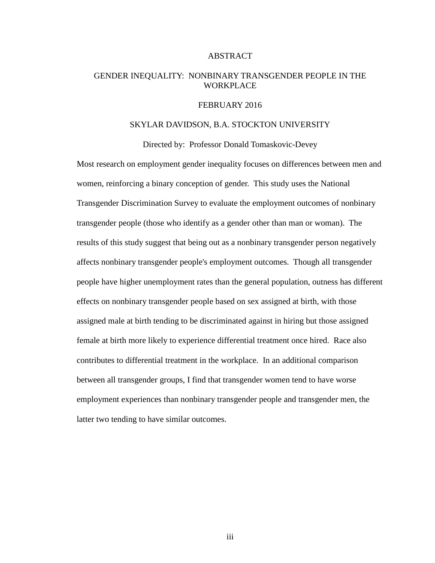### ABSTRACT

## GENDER INEQUALITY: NONBINARY TRANSGENDER PEOPLE IN THE WORKPLACE

## FEBRUARY 2016

## SKYLAR DAVIDSON, B.A. STOCKTON UNIVERSITY

Directed by: Professor Donald Tomaskovic-Devey

Most research on employment gender inequality focuses on differences between men and women, reinforcing a binary conception of gender. This study uses the National Transgender Discrimination Survey to evaluate the employment outcomes of nonbinary transgender people (those who identify as a gender other than man or woman). The results of this study suggest that being out as a nonbinary transgender person negatively affects nonbinary transgender people's employment outcomes. Though all transgender people have higher unemployment rates than the general population, outness has different effects on nonbinary transgender people based on sex assigned at birth, with those assigned male at birth tending to be discriminated against in hiring but those assigned female at birth more likely to experience differential treatment once hired. Race also contributes to differential treatment in the workplace. In an additional comparison between all transgender groups, I find that transgender women tend to have worse employment experiences than nonbinary transgender people and transgender men, the latter two tending to have similar outcomes.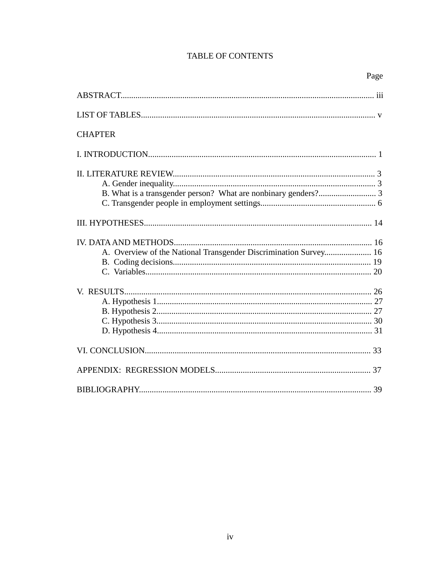## **TABLE OF CONTENTS**

| <b>CHAPTER</b>                                                   |
|------------------------------------------------------------------|
|                                                                  |
|                                                                  |
|                                                                  |
|                                                                  |
|                                                                  |
|                                                                  |
|                                                                  |
| A. Overview of the National Transgender Discrimination Survey 16 |
|                                                                  |
|                                                                  |
|                                                                  |
|                                                                  |
|                                                                  |
|                                                                  |
|                                                                  |
|                                                                  |
|                                                                  |
|                                                                  |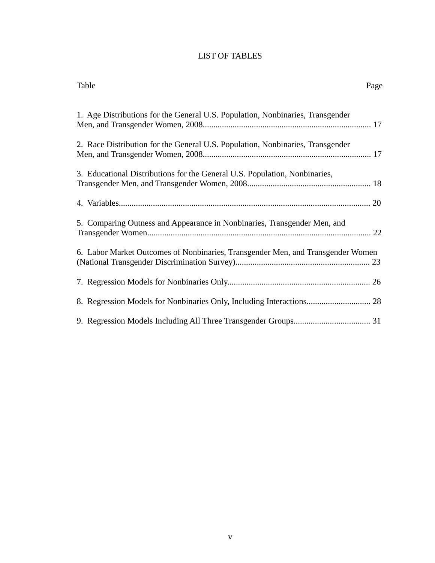## LIST OF TABLES

| Table<br>Page                                                                   |  |
|---------------------------------------------------------------------------------|--|
| 1. Age Distributions for the General U.S. Population, Nonbinaries, Transgender  |  |
| 2. Race Distribution for the General U.S. Population, Nonbinaries, Transgender  |  |
| 3. Educational Distributions for the General U.S. Population, Nonbinaries,      |  |
|                                                                                 |  |
| 5. Comparing Outness and Appearance in Nonbinaries, Transgender Men, and        |  |
| 6. Labor Market Outcomes of Nonbinaries, Transgender Men, and Transgender Women |  |
|                                                                                 |  |
|                                                                                 |  |
|                                                                                 |  |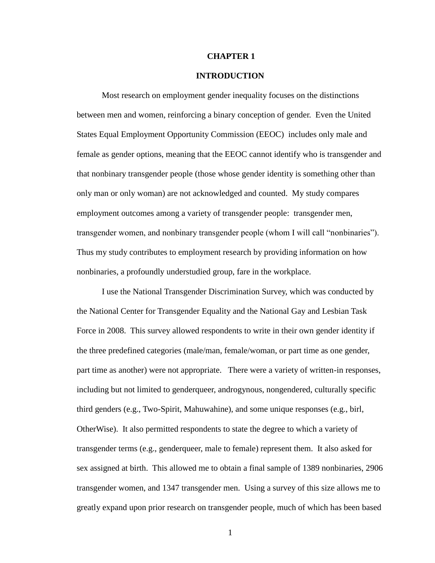### **CHAPTER 1**

## **INTRODUCTION**

Most research on employment gender inequality focuses on the distinctions between men and women, reinforcing a binary conception of gender. Even the United States Equal Employment Opportunity Commission (EEOC) includes only male and female as gender options, meaning that the EEOC cannot identify who is transgender and that nonbinary transgender people (those whose gender identity is something other than only man or only woman) are not acknowledged and counted. My study compares employment outcomes among a variety of transgender people: transgender men, transgender women, and nonbinary transgender people (whom I will call "nonbinaries"). Thus my study contributes to employment research by providing information on how nonbinaries, a profoundly understudied group, fare in the workplace.

I use the National Transgender Discrimination Survey, which was conducted by the National Center for Transgender Equality and the National Gay and Lesbian Task Force in 2008. This survey allowed respondents to write in their own gender identity if the three predefined categories (male/man, female/woman, or part time as one gender, part time as another) were not appropriate. There were a variety of written-in responses, including but not limited to genderqueer, androgynous, nongendered, culturally specific third genders (e.g., Two-Spirit, Mahuwahine), and some unique responses (e.g., birl, OtherWise). It also permitted respondents to state the degree to which a variety of transgender terms (e.g., genderqueer, male to female) represent them. It also asked for sex assigned at birth. This allowed me to obtain a final sample of 1389 nonbinaries, 2906 transgender women, and 1347 transgender men. Using a survey of this size allows me to greatly expand upon prior research on transgender people, much of which has been based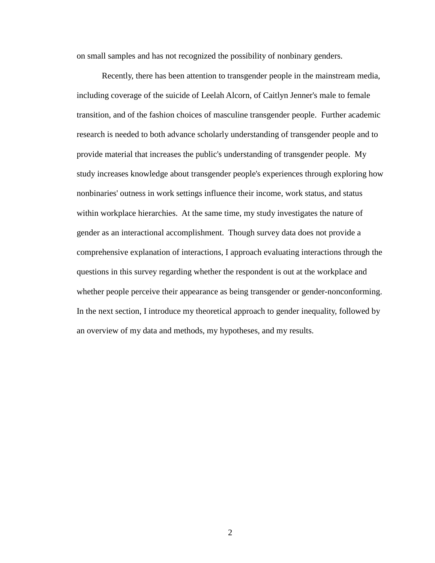on small samples and has not recognized the possibility of nonbinary genders.

Recently, there has been attention to transgender people in the mainstream media, including coverage of the suicide of Leelah Alcorn, of Caitlyn Jenner's male to female transition, and of the fashion choices of masculine transgender people. Further academic research is needed to both advance scholarly understanding of transgender people and to provide material that increases the public's understanding of transgender people. My study increases knowledge about transgender people's experiences through exploring how nonbinaries' outness in work settings influence their income, work status, and status within workplace hierarchies. At the same time, my study investigates the nature of gender as an interactional accomplishment. Though survey data does not provide a comprehensive explanation of interactions, I approach evaluating interactions through the questions in this survey regarding whether the respondent is out at the workplace and whether people perceive their appearance as being transgender or gender-nonconforming. In the next section, I introduce my theoretical approach to gender inequality, followed by an overview of my data and methods, my hypotheses, and my results.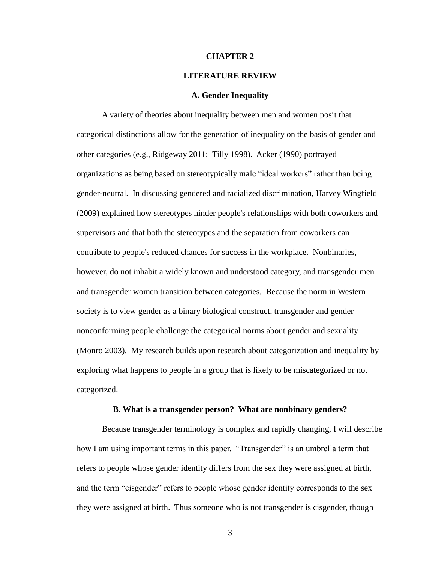### **CHAPTER 2**

#### **LITERATURE REVIEW**

#### **A. Gender Inequality**

A variety of theories about inequality between men and women posit that categorical distinctions allow for the generation of inequality on the basis of gender and other categories (e.g., Ridgeway 2011; Tilly 1998). Acker (1990) portrayed organizations as being based on stereotypically male "ideal workers" rather than being gender-neutral. In discussing gendered and racialized discrimination, Harvey Wingfield (2009) explained how stereotypes hinder people's relationships with both coworkers and supervisors and that both the stereotypes and the separation from coworkers can contribute to people's reduced chances for success in the workplace. Nonbinaries, however, do not inhabit a widely known and understood category, and transgender men and transgender women transition between categories. Because the norm in Western society is to view gender as a binary biological construct, transgender and gender nonconforming people challenge the categorical norms about gender and sexuality (Monro 2003). My research builds upon research about categorization and inequality by exploring what happens to people in a group that is likely to be miscategorized or not categorized.

#### **B. What is a transgender person? What are nonbinary genders?**

Because transgender terminology is complex and rapidly changing, I will describe how I am using important terms in this paper. "Transgender" is an umbrella term that refers to people whose gender identity differs from the sex they were assigned at birth, and the term "cisgender" refers to people whose gender identity corresponds to the sex they were assigned at birth. Thus someone who is not transgender is cisgender, though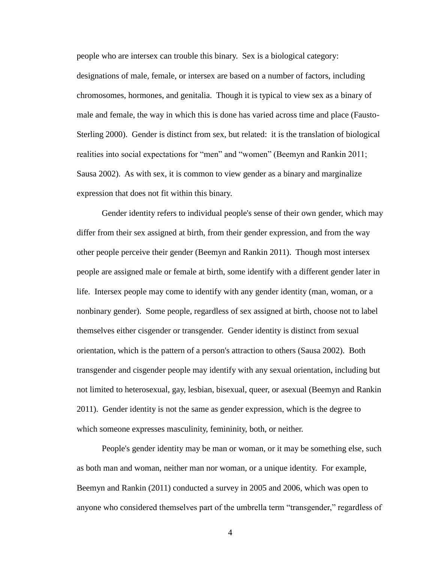people who are intersex can trouble this binary. Sex is a biological category: designations of male, female, or intersex are based on a number of factors, including chromosomes, hormones, and genitalia. Though it is typical to view sex as a binary of male and female, the way in which this is done has varied across time and place (Fausto-Sterling 2000). Gender is distinct from sex, but related: it is the translation of biological realities into social expectations for "men" and "women" (Beemyn and Rankin 2011; Sausa 2002). As with sex, it is common to view gender as a binary and marginalize expression that does not fit within this binary.

Gender identity refers to individual people's sense of their own gender, which may differ from their sex assigned at birth, from their gender expression, and from the way other people perceive their gender (Beemyn and Rankin 2011). Though most intersex people are assigned male or female at birth, some identify with a different gender later in life. Intersex people may come to identify with any gender identity (man, woman, or a nonbinary gender). Some people, regardless of sex assigned at birth, choose not to label themselves either cisgender or transgender. Gender identity is distinct from sexual orientation, which is the pattern of a person's attraction to others (Sausa 2002). Both transgender and cisgender people may identify with any sexual orientation, including but not limited to heterosexual, gay, lesbian, bisexual, queer, or asexual (Beemyn and Rankin 2011). Gender identity is not the same as gender expression, which is the degree to which someone expresses masculinity, femininity, both, or neither.

People's gender identity may be man or woman, or it may be something else, such as both man and woman, neither man nor woman, or a unique identity. For example, Beemyn and Rankin (2011) conducted a survey in 2005 and 2006, which was open to anyone who considered themselves part of the umbrella term "transgender," regardless of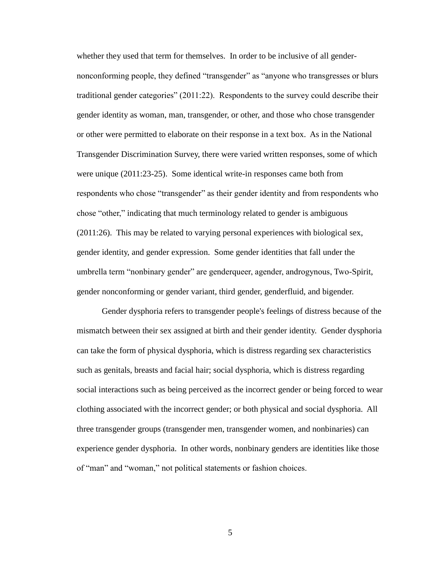whether they used that term for themselves. In order to be inclusive of all gendernonconforming people, they defined "transgender" as "anyone who transgresses or blurs traditional gender categories" (2011:22). Respondents to the survey could describe their gender identity as woman, man, transgender, or other, and those who chose transgender or other were permitted to elaborate on their response in a text box. As in the National Transgender Discrimination Survey, there were varied written responses, some of which were unique (2011:23-25). Some identical write-in responses came both from respondents who chose "transgender" as their gender identity and from respondents who chose "other," indicating that much terminology related to gender is ambiguous (2011:26). This may be related to varying personal experiences with biological sex, gender identity, and gender expression. Some gender identities that fall under the umbrella term "nonbinary gender" are genderqueer, agender, androgynous, Two-Spirit, gender nonconforming or gender variant, third gender, genderfluid, and bigender.

Gender dysphoria refers to transgender people's feelings of distress because of the mismatch between their sex assigned at birth and their gender identity. Gender dysphoria can take the form of physical dysphoria, which is distress regarding sex characteristics such as genitals, breasts and facial hair; social dysphoria, which is distress regarding social interactions such as being perceived as the incorrect gender or being forced to wear clothing associated with the incorrect gender; or both physical and social dysphoria. All three transgender groups (transgender men, transgender women, and nonbinaries) can experience gender dysphoria. In other words, nonbinary genders are identities like those of "man" and "woman," not political statements or fashion choices.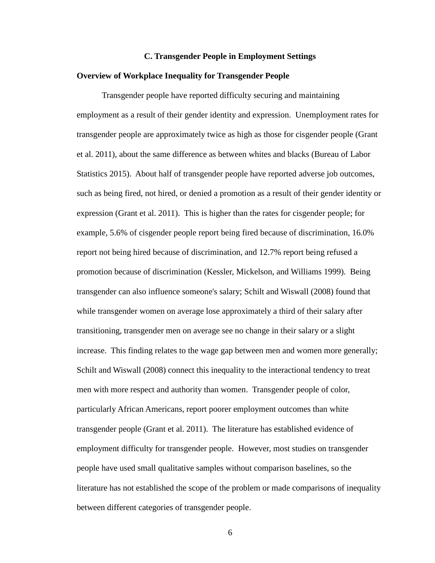#### **C. Transgender People in Employment Settings**

### **Overview of Workplace Inequality for Transgender People**

Transgender people have reported difficulty securing and maintaining employment as a result of their gender identity and expression. Unemployment rates for transgender people are approximately twice as high as those for cisgender people (Grant et al. 2011), about the same difference as between whites and blacks (Bureau of Labor Statistics 2015). About half of transgender people have reported adverse job outcomes, such as being fired, not hired, or denied a promotion as a result of their gender identity or expression (Grant et al. 2011). This is higher than the rates for cisgender people; for example, 5.6% of cisgender people report being fired because of discrimination, 16.0% report not being hired because of discrimination, and 12.7% report being refused a promotion because of discrimination (Kessler, Mickelson, and Williams 1999). Being transgender can also influence someone's salary; Schilt and Wiswall (2008) found that while transgender women on average lose approximately a third of their salary after transitioning, transgender men on average see no change in their salary or a slight increase. This finding relates to the wage gap between men and women more generally; Schilt and Wiswall (2008) connect this inequality to the interactional tendency to treat men with more respect and authority than women. Transgender people of color, particularly African Americans, report poorer employment outcomes than white transgender people (Grant et al. 2011). The literature has established evidence of employment difficulty for transgender people. However, most studies on transgender people have used small qualitative samples without comparison baselines, so the literature has not established the scope of the problem or made comparisons of inequality between different categories of transgender people.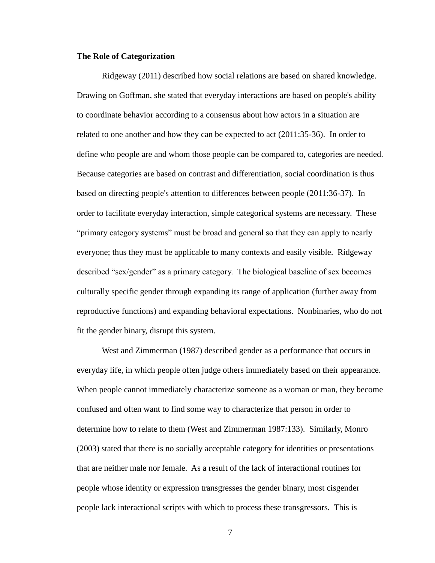#### **The Role of Categorization**

Ridgeway (2011) described how social relations are based on shared knowledge. Drawing on Goffman, she stated that everyday interactions are based on people's ability to coordinate behavior according to a consensus about how actors in a situation are related to one another and how they can be expected to act (2011:35-36). In order to define who people are and whom those people can be compared to, categories are needed. Because categories are based on contrast and differentiation, social coordination is thus based on directing people's attention to differences between people (2011:36-37). In order to facilitate everyday interaction, simple categorical systems are necessary. These "primary category systems" must be broad and general so that they can apply to nearly everyone; thus they must be applicable to many contexts and easily visible. Ridgeway described "sex/gender" as a primary category. The biological baseline of sex becomes culturally specific gender through expanding its range of application (further away from reproductive functions) and expanding behavioral expectations. Nonbinaries, who do not fit the gender binary, disrupt this system.

West and Zimmerman (1987) described gender as a performance that occurs in everyday life, in which people often judge others immediately based on their appearance. When people cannot immediately characterize someone as a woman or man, they become confused and often want to find some way to characterize that person in order to determine how to relate to them (West and Zimmerman 1987:133). Similarly, Monro (2003) stated that there is no socially acceptable category for identities or presentations that are neither male nor female. As a result of the lack of interactional routines for people whose identity or expression transgresses the gender binary, most cisgender people lack interactional scripts with which to process these transgressors. This is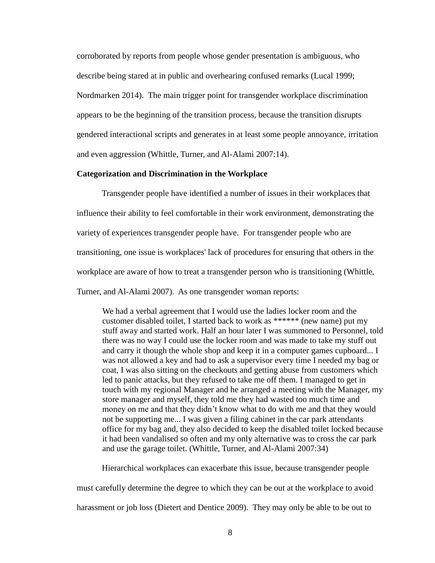corroborated by reports from people whose gender presentation is ambiguous, who describe being stared at in public and overhearing confused remarks (Lucal 1999; Nordmarken 2014). The main trigger point for transgender workplace discrimination appears to be the beginning of the transition process, because the transition disrupts gendered interactional scripts and generates in at least some people annoyance, irritation and even aggression (Whittle, Turner, and Al-Alami 2007:14).

## **Categorization and Discrimination in the Workplace**

Transgender people have identified a number of issues in their workplaces that influence their ability to feel comfortable in their work environment, demonstrating the variety of experiences transgender people have. For transgender people who are transitioning, one issue is workplaces' lack of procedures for ensuring that others in the workplace are aware of how to treat a transgender person who is transitioning (Whittle, Turner, and Al-Alami 2007). As one transgender woman reports:

We had a verbal agreement that I would use the ladies locker room and the customer disabled toilet, I started back to work as \*\*\*\*\*\* (new name) put my stuff away and started work. Half an hour later I was summoned to Personnel, told there was no way I could use the locker room and was made to take my stuff out and carry it though the whole shop and keep it in a computer games cupboard... I was not allowed a key and had to ask a supervisor every time I needed my bag or coat, I was also sitting on the checkouts and getting abuse from customers which led to panic attacks, but they refused to take me off them. I managed to get in touch with my regional Manager and he arranged a meeting with the Manager, my store manager and myself, they told me they had wasted too much time and money on me and that they didn't know what to do with me and that they would not be supporting me... I was given a filing cabinet in the car park attendants office for my bag and, they also decided to keep the disabled toilet locked because it had been vandalised so often and my only alternative was to cross the car park and use the garage toilet. (Whittle, Turner, and Al-Alami 2007:34)

Hierarchical workplaces can exacerbate this issue, because transgender people

must carefully determine the degree to which they can be out at the workplace to avoid

harassment or job loss (Dietert and Dentice 2009). They may only be able to be out to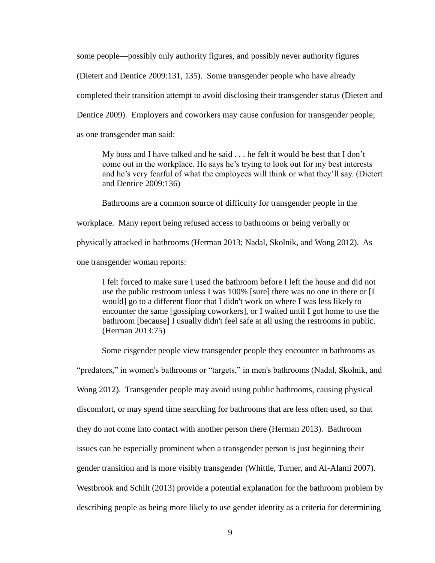some people—possibly only authority figures, and possibly never authority figures (Dietert and Dentice 2009:131, 135). Some transgender people who have already completed their transition attempt to avoid disclosing their transgender status (Dietert and Dentice 2009). Employers and coworkers may cause confusion for transgender people; as one transgender man said:

My boss and I have talked and he said . . . he felt it would be best that I don't come out in the workplace. He says he's trying to look out for my best interests and he's very fearful of what the employees will think or what they'll say. (Dietert and Dentice 2009:136)

Bathrooms are a common source of difficulty for transgender people in the

workplace. Many report being refused access to bathrooms or being verbally or

physically attacked in bathrooms (Herman 2013; Nadal, Skolnik, and Wong 2012). As

one transgender woman reports:

I felt forced to make sure I used the bathroom before I left the house and did not use the public restroom unless I was 100% [sure] there was no one in there or [I would] go to a different floor that I didn't work on where I was less likely to encounter the same [gossiping coworkers], or I waited until I got home to use the bathroom [because] I usually didn't feel safe at all using the restrooms in public. (Herman 2013:75)

Some cisgender people view transgender people they encounter in bathrooms as

"predators," in women's bathrooms or "targets," in men's bathrooms (Nadal, Skolnik, and Wong 2012). Transgender people may avoid using public bathrooms, causing physical discomfort, or may spend time searching for bathrooms that are less often used, so that they do not come into contact with another person there (Herman 2013). Bathroom issues can be especially prominent when a transgender person is just beginning their gender transition and is more visibly transgender (Whittle, Turner, and Al-Alami 2007). Westbrook and Schilt (2013) provide a potential explanation for the bathroom problem by describing people as being more likely to use gender identity as a criteria for determining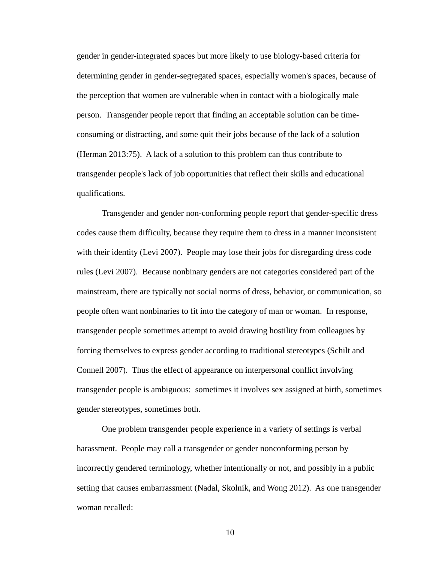gender in gender-integrated spaces but more likely to use biology-based criteria for determining gender in gender-segregated spaces, especially women's spaces, because of the perception that women are vulnerable when in contact with a biologically male person. Transgender people report that finding an acceptable solution can be timeconsuming or distracting, and some quit their jobs because of the lack of a solution (Herman 2013:75). A lack of a solution to this problem can thus contribute to transgender people's lack of job opportunities that reflect their skills and educational qualifications.

Transgender and gender non-conforming people report that gender-specific dress codes cause them difficulty, because they require them to dress in a manner inconsistent with their identity (Levi 2007). People may lose their jobs for disregarding dress code rules (Levi 2007). Because nonbinary genders are not categories considered part of the mainstream, there are typically not social norms of dress, behavior, or communication, so people often want nonbinaries to fit into the category of man or woman. In response, transgender people sometimes attempt to avoid drawing hostility from colleagues by forcing themselves to express gender according to traditional stereotypes (Schilt and Connell 2007). Thus the effect of appearance on interpersonal conflict involving transgender people is ambiguous: sometimes it involves sex assigned at birth, sometimes gender stereotypes, sometimes both.

One problem transgender people experience in a variety of settings is verbal harassment. People may call a transgender or gender nonconforming person by incorrectly gendered terminology, whether intentionally or not, and possibly in a public setting that causes embarrassment (Nadal, Skolnik, and Wong 2012). As one transgender woman recalled: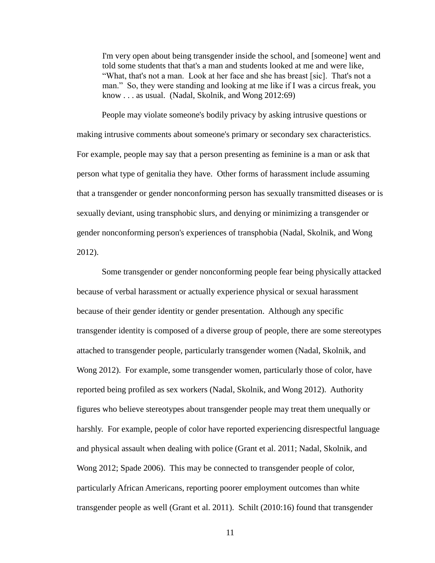I'm very open about being transgender inside the school, and [someone] went and told some students that that's a man and students looked at me and were like, "What, that's not a man. Look at her face and she has breast [sic]. That's not a man." So, they were standing and looking at me like if I was a circus freak, you know . . . as usual. (Nadal, Skolnik, and Wong 2012:69)

People may violate someone's bodily privacy by asking intrusive questions or making intrusive comments about someone's primary or secondary sex characteristics. For example, people may say that a person presenting as feminine is a man or ask that person what type of genitalia they have. Other forms of harassment include assuming that a transgender or gender nonconforming person has sexually transmitted diseases or is sexually deviant, using transphobic slurs, and denying or minimizing a transgender or gender nonconforming person's experiences of transphobia (Nadal, Skolnik, and Wong 2012).

Some transgender or gender nonconforming people fear being physically attacked because of verbal harassment or actually experience physical or sexual harassment because of their gender identity or gender presentation. Although any specific transgender identity is composed of a diverse group of people, there are some stereotypes attached to transgender people, particularly transgender women (Nadal, Skolnik, and Wong 2012). For example, some transgender women, particularly those of color, have reported being profiled as sex workers (Nadal, Skolnik, and Wong 2012). Authority figures who believe stereotypes about transgender people may treat them unequally or harshly. For example, people of color have reported experiencing disrespectful language and physical assault when dealing with police (Grant et al. 2011; Nadal, Skolnik, and Wong 2012; Spade 2006). This may be connected to transgender people of color, particularly African Americans, reporting poorer employment outcomes than white transgender people as well (Grant et al. 2011). Schilt (2010:16) found that transgender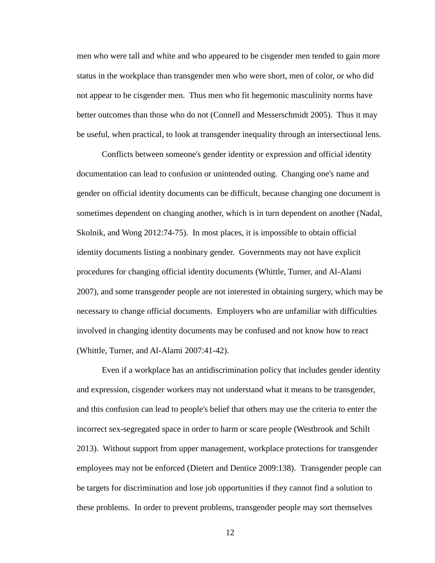men who were tall and white and who appeared to be cisgender men tended to gain more status in the workplace than transgender men who were short, men of color, or who did not appear to be cisgender men. Thus men who fit hegemonic masculinity norms have better outcomes than those who do not (Connell and Messerschmidt 2005). Thus it may be useful, when practical, to look at transgender inequality through an intersectional lens.

Conflicts between someone's gender identity or expression and official identity documentation can lead to confusion or unintended outing. Changing one's name and gender on official identity documents can be difficult, because changing one document is sometimes dependent on changing another, which is in turn dependent on another (Nadal, Skolnik, and Wong 2012:74-75). In most places, it is impossible to obtain official identity documents listing a nonbinary gender. Governments may not have explicit procedures for changing official identity documents (Whittle, Turner, and Al-Alami 2007), and some transgender people are not interested in obtaining surgery, which may be necessary to change official documents. Employers who are unfamiliar with difficulties involved in changing identity documents may be confused and not know how to react (Whittle, Turner, and Al-Alami 2007:41-42).

Even if a workplace has an antidiscrimination policy that includes gender identity and expression, cisgender workers may not understand what it means to be transgender, and this confusion can lead to people's belief that others may use the criteria to enter the incorrect sex-segregated space in order to harm or scare people (Westbrook and Schilt 2013). Without support from upper management, workplace protections for transgender employees may not be enforced (Dietert and Dentice 2009:138).Transgender people can be targets for discrimination and lose job opportunities if they cannot find a solution to these problems. In order to prevent problems, transgender people may sort themselves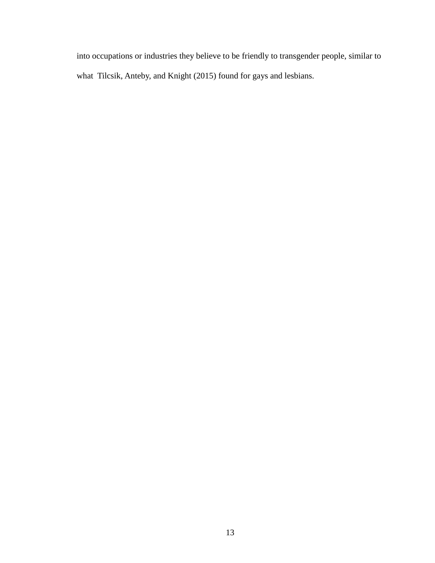into occupations or industries they believe to be friendly to transgender people, similar to what Tilcsik, Anteby, and Knight (2015) found for gays and lesbians.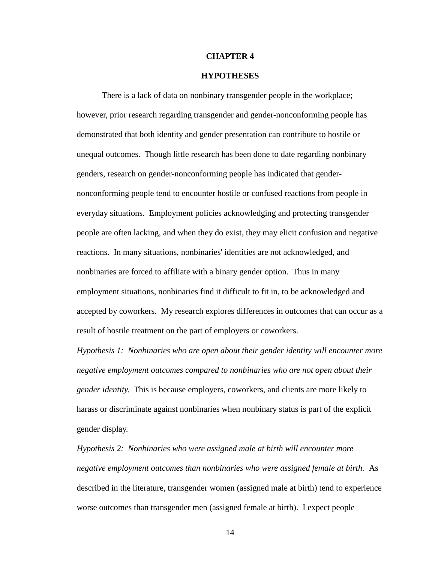### **CHAPTER 4**

## **HYPOTHESES**

There is a lack of data on nonbinary transgender people in the workplace; however, prior research regarding transgender and gender-nonconforming people has demonstrated that both identity and gender presentation can contribute to hostile or unequal outcomes. Though little research has been done to date regarding nonbinary genders, research on gender-nonconforming people has indicated that gendernonconforming people tend to encounter hostile or confused reactions from people in everyday situations. Employment policies acknowledging and protecting transgender people are often lacking, and when they do exist, they may elicit confusion and negative reactions. In many situations, nonbinaries' identities are not acknowledged, and nonbinaries are forced to affiliate with a binary gender option. Thus in many employment situations, nonbinaries find it difficult to fit in, to be acknowledged and accepted by coworkers. My research explores differences in outcomes that can occur as a result of hostile treatment on the part of employers or coworkers.

*Hypothesis 1: Nonbinaries who are open about their gender identity will encounter more negative employment outcomes compared to nonbinaries who are not open about their gender identity.* This is because employers, coworkers, and clients are more likely to harass or discriminate against nonbinaries when nonbinary status is part of the explicit gender display.

*Hypothesis 2: Nonbinaries who were assigned male at birth will encounter more negative employment outcomes than nonbinaries who were assigned female at birth.* As described in the literature, transgender women (assigned male at birth) tend to experience worse outcomes than transgender men (assigned female at birth). I expect people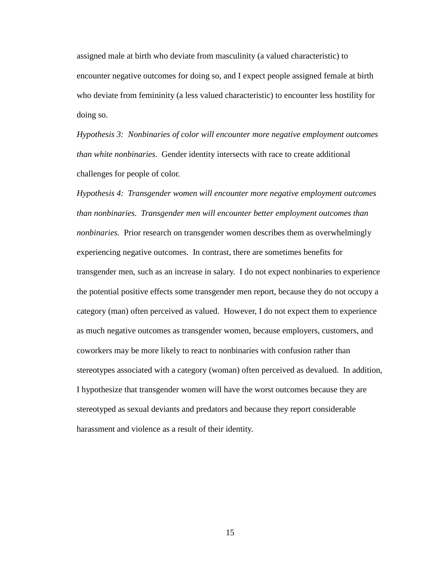assigned male at birth who deviate from masculinity (a valued characteristic) to encounter negative outcomes for doing so, and I expect people assigned female at birth who deviate from femininity (a less valued characteristic) to encounter less hostility for doing so.

*Hypothesis 3: Nonbinaries of color will encounter more negative employment outcomes than white nonbinaries.* Gender identity intersects with race to create additional challenges for people of color.

*Hypothesis 4: Transgender women will encounter more negative employment outcomes than nonbinaries. Transgender men will encounter better employment outcomes than nonbinaries.* Prior research on transgender women describes them as overwhelmingly experiencing negative outcomes. In contrast, there are sometimes benefits for transgender men, such as an increase in salary. I do not expect nonbinaries to experience the potential positive effects some transgender men report, because they do not occupy a category (man) often perceived as valued. However, I do not expect them to experience as much negative outcomes as transgender women, because employers, customers, and coworkers may be more likely to react to nonbinaries with confusion rather than stereotypes associated with a category (woman) often perceived as devalued. In addition, I hypothesize that transgender women will have the worst outcomes because they are stereotyped as sexual deviants and predators and because they report considerable harassment and violence as a result of their identity.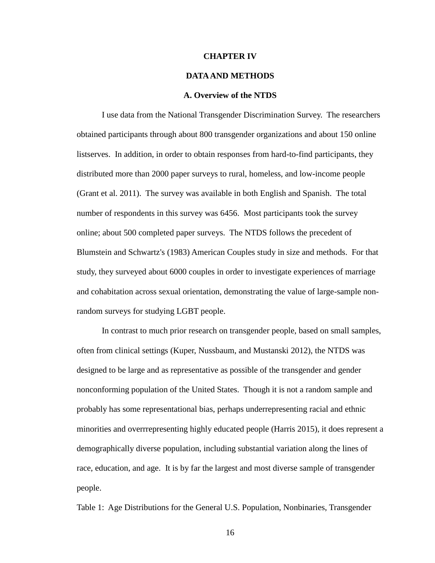#### **CHAPTER IV**

#### **DATA AND METHODS**

### **A. Overview of the NTDS**

I use data from the National Transgender Discrimination Survey. The researchers obtained participants through about 800 transgender organizations and about 150 online listserves. In addition, in order to obtain responses from hard-to-find participants, they distributed more than 2000 paper surveys to rural, homeless, and low-income people (Grant et al. 2011). The survey was available in both English and Spanish. The total number of respondents in this survey was 6456. Most participants took the survey online; about 500 completed paper surveys. The NTDS follows the precedent of Blumstein and Schwartz's (1983) American Couples study in size and methods. For that study, they surveyed about 6000 couples in order to investigate experiences of marriage and cohabitation across sexual orientation, demonstrating the value of large-sample nonrandom surveys for studying LGBT people.

In contrast to much prior research on transgender people, based on small samples, often from clinical settings (Kuper, Nussbaum, and Mustanski 2012), the NTDS was designed to be large and as representative as possible of the transgender and gender nonconforming population of the United States. Though it is not a random sample and probably has some representational bias, perhaps underrepresenting racial and ethnic minorities and overrrepresenting highly educated people (Harris 2015), it does represent a demographically diverse population, including substantial variation along the lines of race, education, and age. It is by far the largest and most diverse sample of transgender people.

Table 1: Age Distributions for the General U.S. Population, Nonbinaries, Transgender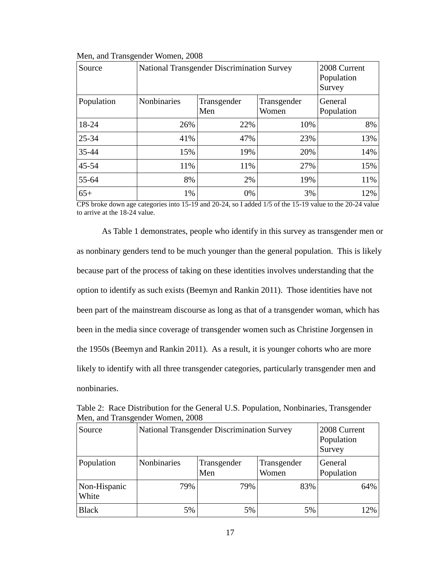| Source     | <b>National Transgender Discrimination Survey</b> |                    |                      | 2008 Current<br>Population<br>Survey |
|------------|---------------------------------------------------|--------------------|----------------------|--------------------------------------|
| Population | Nonbinaries                                       | Transgender<br>Men | Transgender<br>Women | General<br>Population                |
| 18-24      | 26%                                               | 22%                | 10%                  | 8%                                   |
| $25 - 34$  | 41%                                               | 47%                | 23%                  | 13%                                  |
| $35 - 44$  | 15%                                               | 19%                | 20%                  | 14%                                  |
| 45-54      | 11%                                               | 11%                | 27%                  | 15%                                  |
| 55-64      | 8%                                                | 2%                 | 19%                  | 11%                                  |
| $65+$      | 1%                                                | 0%                 | 3%                   | 12%                                  |

Men, and Transgender Women, 2008

CPS broke down age categories into 15-19 and 20-24, so I added 1/5 of the 15-19 value to the 20-24 value to arrive at the 18-24 value.

As Table 1 demonstrates, people who identify in this survey as transgender men or as nonbinary genders tend to be much younger than the general population. This is likely because part of the process of taking on these identities involves understanding that the option to identify as such exists (Beemyn and Rankin 2011). Those identities have not been part of the mainstream discourse as long as that of a transgender woman, which has been in the media since coverage of transgender women such as Christine Jorgensen in the 1950s (Beemyn and Rankin 2011). As a result, it is younger cohorts who are more likely to identify with all three transgender categories, particularly transgender men and nonbinaries.

Table 2: Race Distribution for the General U.S. Population, Nonbinaries, Transgender Men, and Transgender Women, 2008

| Source                | <b>National Transgender Discrimination Survey</b> |                       |     | 2008 Current<br>Population<br>Survey |
|-----------------------|---------------------------------------------------|-----------------------|-----|--------------------------------------|
| Population            | Nonbinaries                                       | General<br>Population |     |                                      |
| Non-Hispanic<br>White | 79%                                               | 79%                   | 83% | 64%                                  |
| <b>Black</b>          | 5%                                                | 5%                    | 5%  | 12%                                  |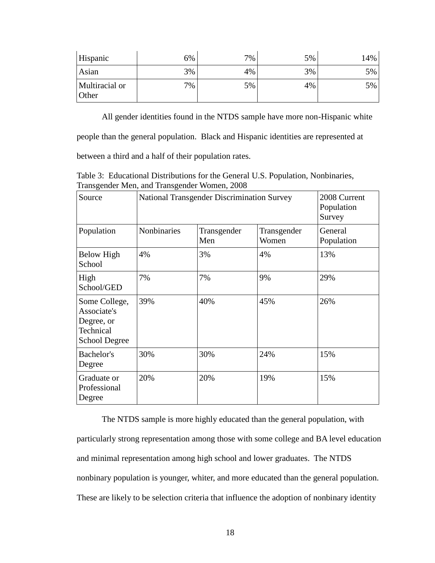| Hispanic                | 6% | 7% | 5% | ا 14% |
|-------------------------|----|----|----|-------|
| Asian                   | 3% | 4% | 3% | $5\%$ |
| Multiracial or<br>Other | 7% | 5% | 4% | $5\%$ |

All gender identities found in the NTDS sample have more non-Hispanic white

people than the general population. Black and Hispanic identities are represented at

between a third and a half of their population rates.

Table 3: Educational Distributions for the General U.S. Population, Nonbinaries, Transgender Men, and Transgender Women, 2008

| Source                                                                          | <b>National Transgender Discrimination Survey</b> |                    |                      | 2008 Current<br>Population<br>Survey |
|---------------------------------------------------------------------------------|---------------------------------------------------|--------------------|----------------------|--------------------------------------|
| Population                                                                      | Nonbinaries                                       | Transgender<br>Men | Transgender<br>Women | General<br>Population                |
| <b>Below High</b><br>School                                                     | 4%                                                | 3%                 | 4%                   | 13%                                  |
| High<br>School/GED                                                              | 7%                                                | 7%                 | 9%                   | 29%                                  |
| Some College,<br>Associate's<br>Degree, or<br>Technical<br><b>School Degree</b> | 39%                                               | 40%                | 45%                  | 26%                                  |
| Bachelor's<br>Degree                                                            | 30%                                               | 30%                | 24%                  | 15%                                  |
| Graduate or<br>Professional<br>Degree                                           | 20%                                               | 20%                | 19%                  | 15%                                  |

The NTDS sample is more highly educated than the general population, with particularly strong representation among those with some college and BA level education and minimal representation among high school and lower graduates. The NTDS nonbinary population is younger, whiter, and more educated than the general population. These are likely to be selection criteria that influence the adoption of nonbinary identity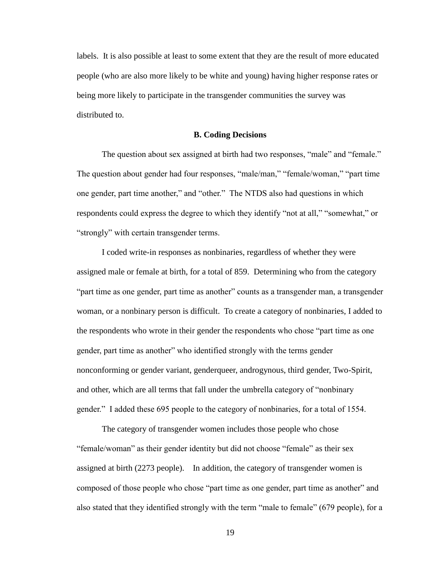labels. It is also possible at least to some extent that they are the result of more educated people (who are also more likely to be white and young) having higher response rates or being more likely to participate in the transgender communities the survey was distributed to.

## **B. Coding Decisions**

The question about sex assigned at birth had two responses, "male" and "female." The question about gender had four responses, "male/man," "female/woman," "part time one gender, part time another," and "other." The NTDS also had questions in which respondents could express the degree to which they identify "not at all," "somewhat," or "strongly" with certain transgender terms.

I coded write-in responses as nonbinaries, regardless of whether they were assigned male or female at birth, for a total of 859. Determining who from the category "part time as one gender, part time as another" counts as a transgender man, a transgender woman, or a nonbinary person is difficult. To create a category of nonbinaries, I added to the respondents who wrote in their gender the respondents who chose "part time as one gender, part time as another" who identified strongly with the terms gender nonconforming or gender variant, genderqueer, androgynous, third gender, Two-Spirit, and other, which are all terms that fall under the umbrella category of "nonbinary gender." I added these 695 people to the category of nonbinaries, for a total of 1554.

The category of transgender women includes those people who chose "female/woman" as their gender identity but did not choose "female" as their sex assigned at birth (2273 people). In addition, the category of transgender women is composed of those people who chose "part time as one gender, part time as another" and also stated that they identified strongly with the term "male to female" (679 people), for a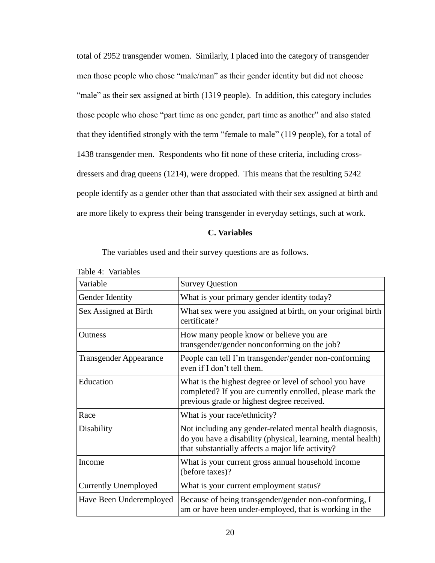total of 2952 transgender women. Similarly, I placed into the category of transgender men those people who chose "male/man" as their gender identity but did not choose "male" as their sex assigned at birth (1319 people). In addition, this category includes those people who chose "part time as one gender, part time as another" and also stated that they identified strongly with the term "female to male" (119 people), for a total of 1438 transgender men. Respondents who fit none of these criteria, including crossdressers and drag queens (1214), were dropped. This means that the resulting 5242 people identify as a gender other than that associated with their sex assigned at birth and are more likely to express their being transgender in everyday settings, such at work.

## **C. Variables**

The variables used and their survey questions are as follows.

| Variable                      | <b>Survey Question</b>                                                                                                                                                         |
|-------------------------------|--------------------------------------------------------------------------------------------------------------------------------------------------------------------------------|
| Gender Identity               | What is your primary gender identity today?                                                                                                                                    |
| Sex Assigned at Birth         | What sex were you assigned at birth, on your original birth<br>certificate?                                                                                                    |
| <b>Outness</b>                | How many people know or believe you are<br>transgender/gender nonconforming on the job?                                                                                        |
| <b>Transgender Appearance</b> | People can tell I'm transgender/gender non-conforming<br>even if I don't tell them.                                                                                            |
| Education                     | What is the highest degree or level of school you have<br>completed? If you are currently enrolled, please mark the<br>previous grade or highest degree received.              |
| Race                          | What is your race/ethnicity?                                                                                                                                                   |
| Disability                    | Not including any gender-related mental health diagnosis,<br>do you have a disability (physical, learning, mental health)<br>that substantially affects a major life activity? |
| Income                        | What is your current gross annual household income<br>(before taxes)?                                                                                                          |
| <b>Currently Unemployed</b>   | What is your current employment status?                                                                                                                                        |
| Have Been Underemployed       | Because of being transgender/gender non-conforming, I<br>am or have been under-employed, that is working in the                                                                |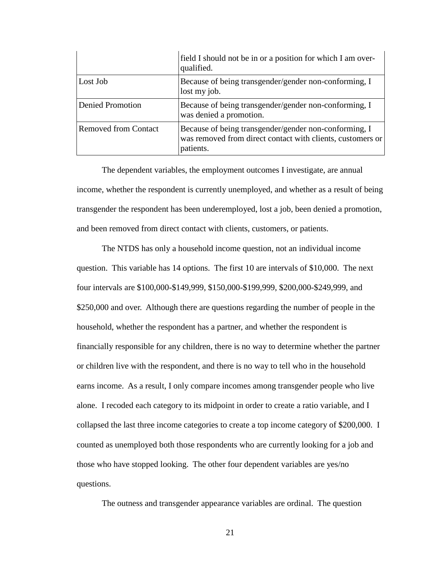|                             | field I should not be in or a position for which I am over-<br>qualified.                                                        |
|-----------------------------|----------------------------------------------------------------------------------------------------------------------------------|
| Lost Job                    | Because of being transgender/gender non-conforming, I<br>lost my job.                                                            |
| <b>Denied Promotion</b>     | Because of being transgender/gender non-conforming, I<br>was denied a promotion.                                                 |
| <b>Removed from Contact</b> | Because of being transgender/gender non-conforming, I<br>was removed from direct contact with clients, customers or<br>patients. |

The dependent variables, the employment outcomes I investigate, are annual income, whether the respondent is currently unemployed, and whether as a result of being transgender the respondent has been underemployed, lost a job, been denied a promotion, and been removed from direct contact with clients, customers, or patients.

The NTDS has only a household income question, not an individual income question. This variable has 14 options. The first 10 are intervals of \$10,000. The next four intervals are \$100,000-\$149,999, \$150,000-\$199,999, \$200,000-\$249,999, and \$250,000 and over. Although there are questions regarding the number of people in the household, whether the respondent has a partner, and whether the respondent is financially responsible for any children, there is no way to determine whether the partner or children live with the respondent, and there is no way to tell who in the household earns income. As a result, I only compare incomes among transgender people who live alone. I recoded each category to its midpoint in order to create a ratio variable, and I collapsed the last three income categories to create a top income category of \$200,000. I counted as unemployed both those respondents who are currently looking for a job and those who have stopped looking. The other four dependent variables are yes/no questions.

The outness and transgender appearance variables are ordinal. The question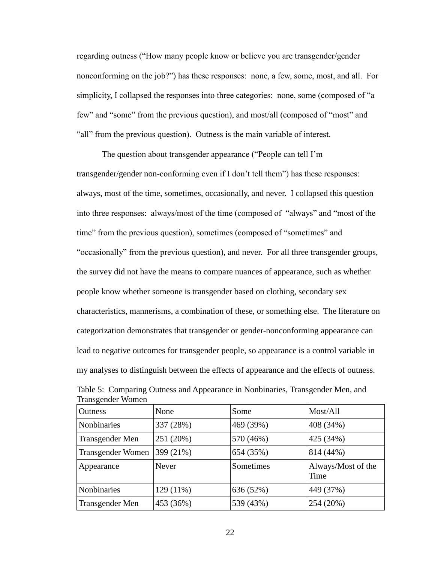regarding outness ("How many people know or believe you are transgender/gender nonconforming on the job?") has these responses: none, a few, some, most, and all. For simplicity, I collapsed the responses into three categories: none, some (composed of "a few" and "some" from the previous question), and most/all (composed of "most" and "all" from the previous question). Outness is the main variable of interest.

The question about transgender appearance ("People can tell I'm transgender/gender non-conforming even if I don't tell them") has these responses: always, most of the time, sometimes, occasionally, and never. I collapsed this question into three responses: always/most of the time (composed of "always" and "most of the time" from the previous question), sometimes (composed of "sometimes" and "occasionally" from the previous question), and never. For all three transgender groups, the survey did not have the means to compare nuances of appearance, such as whether people know whether someone is transgender based on clothing, secondary sex characteristics, mannerisms, a combination of these, or something else. The literature on categorization demonstrates that transgender or gender-nonconforming appearance can lead to negative outcomes for transgender people, so appearance is a control variable in my analyses to distinguish between the effects of appearance and the effects of outness.

| Outness                  | None         | Some      | Most/All                   |
|--------------------------|--------------|-----------|----------------------------|
| <b>Nonbinaries</b>       | 337 (28%)    | 469 (39%) | 408 (34%)                  |
| Transgender Men          | 251 (20%)    | 570 (46%) | 425 (34%)                  |
| <b>Transgender Women</b> | 399 (21%)    | 654 (35%) | 814 (44%)                  |
| Appearance               | <b>Never</b> | Sometimes | Always/Most of the<br>Time |
| <b>Nonbinaries</b>       | 129 (11%)    | 636 (52%) | 449 (37%)                  |
| Transgender Men          | 453 (36%)    | 539 (43%) | 254 (20%)                  |

Table 5: Comparing Outness and Appearance in Nonbinaries, Transgender Men, and Transgender Women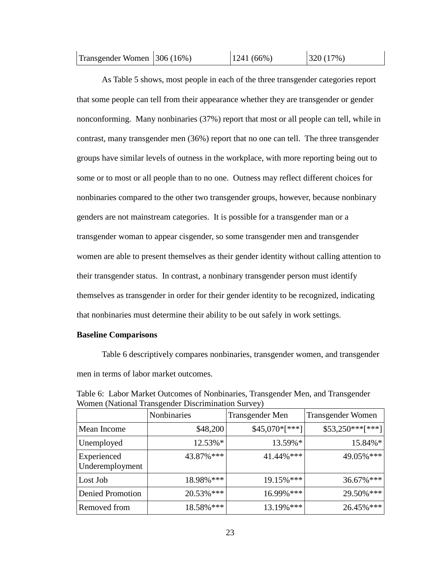| Transgender Women 306 (16%) |  | $ 1241(66\%)$ | 320(17%) |
|-----------------------------|--|---------------|----------|
|-----------------------------|--|---------------|----------|

As Table 5 shows, most people in each of the three transgender categories report that some people can tell from their appearance whether they are transgender or gender nonconforming. Many nonbinaries (37%) report that most or all people can tell, while in contrast, many transgender men (36%) report that no one can tell. The three transgender groups have similar levels of outness in the workplace, with more reporting being out to some or to most or all people than to no one. Outness may reflect different choices for nonbinaries compared to the other two transgender groups, however, because nonbinary genders are not mainstream categories. It is possible for a transgender man or a transgender woman to appear cisgender, so some transgender men and transgender women are able to present themselves as their gender identity without calling attention to their transgender status. In contrast, a nonbinary transgender person must identify themselves as transgender in order for their gender identity to be recognized, indicating that nonbinaries must determine their ability to be out safely in work settings.

## **Baseline Comparisons**

Table 6 descriptively compares nonbinaries, transgender women, and transgender men in terms of labor market outcomes.

|                                | Nonbinaries | Transgender Men | <b>Transgender Women</b> |
|--------------------------------|-------------|-----------------|--------------------------|
| Mean Income                    | \$48,200    | $$45,070*[***]$ | $$53,250***$ [***]       |
| Unemployed                     | 12.53%*     | 13.59%*         | 15.84%*                  |
| Experienced<br>Underemployment | 43.87%***   | 41.44%***       | 49.05%***                |
| Lost Job                       | 18.98% ***  | 19.15%***       | 36.67%***                |
| <b>Denied Promotion</b>        | 20.53% ***  | 16.99% ***      | 29.50%***                |
| Removed from                   | 18.58%***   | 13.19%***       | 26.45% ***               |

Table 6: Labor Market Outcomes of Nonbinaries, Transgender Men, and Transgender Women (National Transgender Discrimination Survey)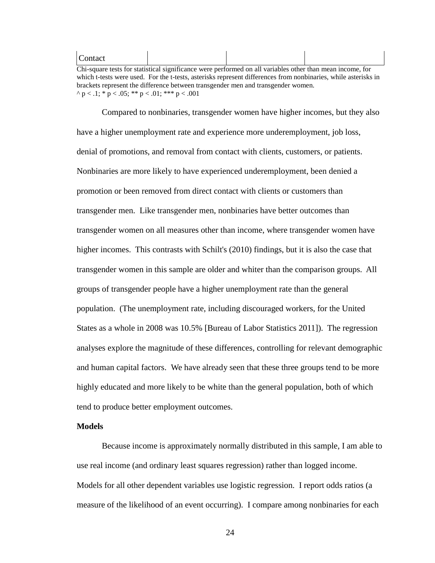#### Contact

Chi-square tests for statistical significance were performed on all variables other than mean income, for which t-tests were used. For the t-tests, asterisks represent differences from nonbinaries, while asterisks in brackets represent the difference between transgender men and transgender women.  $\land$  p < .1;  $\frac{*}{ }$  p < .05;  $\frac{*}{ }$  p < .01;  $\frac{*}{ }$   $\frac{*}{ }$  p < .001

Compared to nonbinaries, transgender women have higher incomes, but they also have a higher unemployment rate and experience more underemployment, job loss, denial of promotions, and removal from contact with clients, customers, or patients. Nonbinaries are more likely to have experienced underemployment, been denied a promotion or been removed from direct contact with clients or customers than transgender men. Like transgender men, nonbinaries have better outcomes than transgender women on all measures other than income, where transgender women have higher incomes. This contrasts with Schilt's (2010) findings, but it is also the case that transgender women in this sample are older and whiter than the comparison groups. All groups of transgender people have a higher unemployment rate than the general population. (The unemployment rate, including discouraged workers, for the United States as a whole in 2008 was 10.5% [Bureau of Labor Statistics 2011]). The regression analyses explore the magnitude of these differences, controlling for relevant demographic and human capital factors.We have already seen that these three groups tend to be more highly educated and more likely to be white than the general population, both of which tend to produce better employment outcomes.

## **Models**

Because income is approximately normally distributed in this sample, I am able to use real income (and ordinary least squares regression) rather than logged income. Models for all other dependent variables use logistic regression. I report odds ratios (a measure of the likelihood of an event occurring). I compare among nonbinaries for each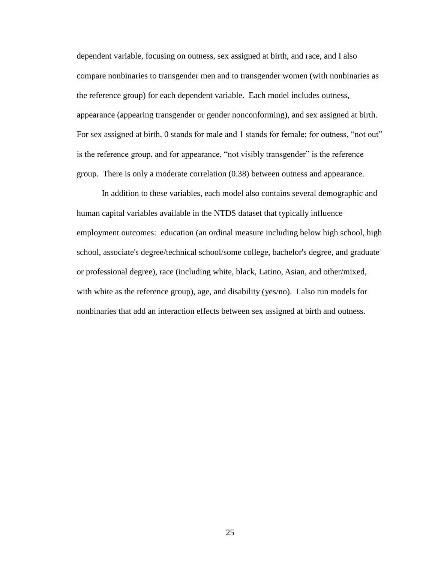dependent variable, focusing on outness, sex assigned at birth, and race, and I also compare nonbinaries to transgender men and to transgender women (with nonbinaries as the reference group) for each dependent variable. Each model includes outness, appearance (appearing transgender or gender nonconforming), and sex assigned at birth. For sex assigned at birth, 0 stands for male and 1 stands for female; for outness, "not out" is the reference group, and for appearance, "not visibly transgender" is the reference group. There is only a moderate correlation (0.38) between outness and appearance.

In addition to these variables, each model also contains several demographic and human capital variables available in the NTDS dataset that typically influence employment outcomes: education (an ordinal measure including below high school, high school, associate's degree/technical school/some college, bachelor's degree, and graduate or professional degree), race (including white, black, Latino, Asian, and other/mixed, with white as the reference group), age, and disability (yes/no). I also run models for nonbinaries that add an interaction effects between sex assigned at birth and outness.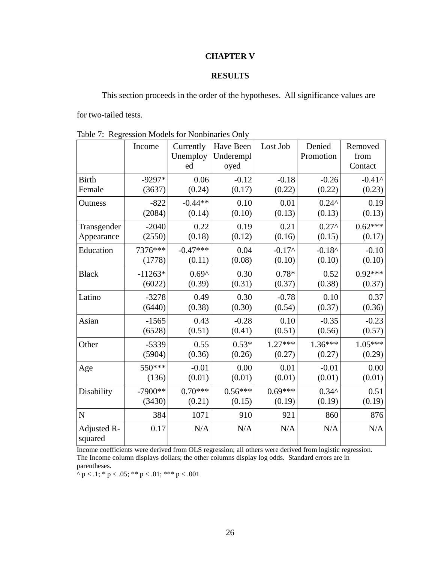## **CHAPTER V**

## **RESULTS**

This section proceeds in the order of the hypotheses. All significance values are

for two-tailed tests.

|                        | Income    | Currently<br>Unemploy<br>ed | Have Been<br>Underempl<br>oyed | Lost Job  | Denied<br>Promotion | Removed<br>from<br>Contact |
|------------------------|-----------|-----------------------------|--------------------------------|-----------|---------------------|----------------------------|
| <b>Birth</b>           | $-9297*$  | 0.06                        | $-0.12$                        | $-0.18$   | $-0.26$             | $-0.41$ ^                  |
| Female                 | (3637)    | (0.24)                      | (0.17)                         | (0.22)    | (0.22)              | (0.23)                     |
| Outness                | $-822$    | $-0.44**$                   | 0.10                           | 0.01      | $0.24^{\circ}$      | 0.19                       |
|                        | (2084)    | (0.14)                      | (0.10)                         | (0.13)    | (0.13)              | (0.13)                     |
| Transgender            | $-2040$   | 0.22                        | 0.19                           | 0.21      | $0.27^{\circ}$      | $0.62***$                  |
| Appearance             | (2550)    | (0.18)                      | (0.12)                         | (0.16)    | (0.15)              | (0.17)                     |
| Education              | 7376***   | $-0.47***$                  | 0.04                           | $-0.17^$  | $-0.18^{\circ}$     | $-0.10$                    |
|                        | (1778)    | (0.11)                      | (0.08)                         | (0.10)    | (0.10)              | (0.10)                     |
| <b>Black</b>           | $-11263*$ | $0.69^{\circ}$              | 0.30                           | $0.78*$   | 0.52                | $0.92***$                  |
|                        | (6022)    | (0.39)                      | (0.31)                         | (0.37)    | (0.38)              | (0.37)                     |
| Latino                 | $-3278$   | 0.49                        | 0.30                           | $-0.78$   | 0.10                | 0.37                       |
|                        | (6440)    | (0.38)                      | (0.30)                         | (0.54)    | (0.37)              | (0.36)                     |
| Asian                  | $-1565$   | 0.43                        | $-0.28$                        | 0.10      | $-0.35$             | $-0.23$                    |
|                        | (6528)    | (0.51)                      | (0.41)                         | (0.51)    | (0.56)              | (0.57)                     |
| Other                  | $-5339$   | 0.55                        | $0.53*$                        | $1.27***$ | $1.36***$           | $1.05***$                  |
|                        | (5904)    | (0.36)                      | (0.26)                         | (0.27)    | (0.27)              | (0.29)                     |
| Age                    | 550***    | $-0.01$                     | 0.00                           | 0.01      | $-0.01$             | 0.00                       |
|                        | (136)     | (0.01)                      | (0.01)                         | (0.01)    | (0.01)              | (0.01)                     |
| Disability             | $-7900**$ | $0.70***$                   | $0.56***$                      | $0.69***$ | $0.34^{\circ}$      | 0.51                       |
|                        | (3430)    | (0.21)                      | (0.15)                         | (0.19)    | (0.19)              | (0.19)                     |
| N                      | 384       | 1071                        | 910                            | 921       | 860                 | 876                        |
| Adjusted R-<br>squared | 0.17      | N/A                         | N/A                            | N/A       | N/A                 | N/A                        |

Table 7: Regression Models for Nonbinaries Only

Income coefficients were derived from OLS regression; all others were derived from logistic regression. The Income column displays dollars; the other columns display log odds. Standard errors are in parentheses.

^ p < .1; \* p < .05; \*\* p < .01; \*\*\* p < .001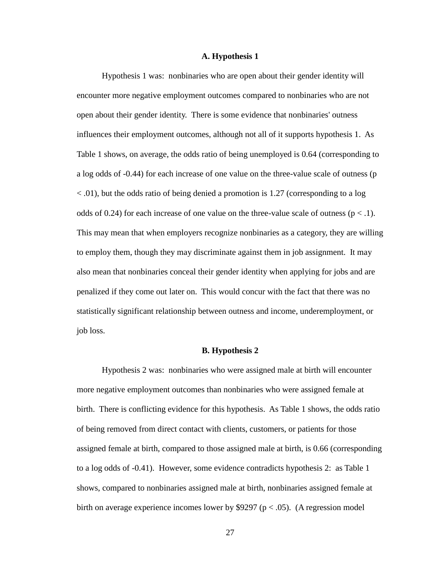#### **A. Hypothesis 1**

Hypothesis 1 was: nonbinaries who are open about their gender identity will encounter more negative employment outcomes compared to nonbinaries who are not open about their gender identity. There is some evidence that nonbinaries' outness influences their employment outcomes, although not all of it supports hypothesis 1. As Table 1 shows, on average, the odds ratio of being unemployed is 0.64 (corresponding to a log odds of -0.44) for each increase of one value on the three-value scale of outness (p < .01), but the odds ratio of being denied a promotion is 1.27 (corresponding to a log odds of 0.24) for each increase of one value on the three-value scale of outness ( $p < 0.1$ ). This may mean that when employers recognize nonbinaries as a category, they are willing to employ them, though they may discriminate against them in job assignment. It may also mean that nonbinaries conceal their gender identity when applying for jobs and are penalized if they come out later on. This would concur with the fact that there was no statistically significant relationship between outness and income, underemployment, or job loss.

#### **B. Hypothesis 2**

 Hypothesis 2 was: nonbinaries who were assigned male at birth will encounter more negative employment outcomes than nonbinaries who were assigned female at birth. There is conflicting evidence for this hypothesis. As Table 1 shows, the odds ratio of being removed from direct contact with clients, customers, or patients for those assigned female at birth, compared to those assigned male at birth, is 0.66 (corresponding to a log odds of -0.41). However, some evidence contradicts hypothesis 2: as Table 1 shows, compared to nonbinaries assigned male at birth, nonbinaries assigned female at birth on average experience incomes lower by \$9297 ( $p < .05$ ). (A regression model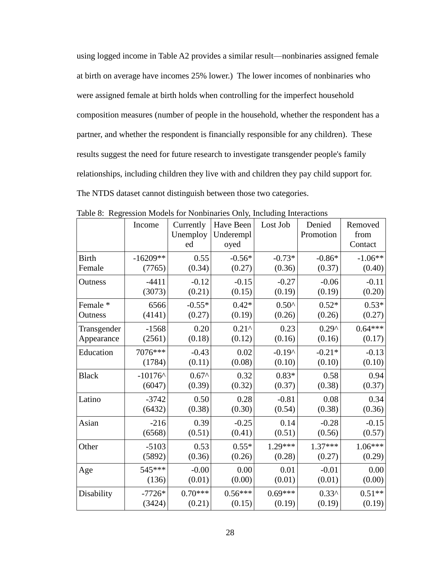using logged income in Table A2 provides a similar result—nonbinaries assigned female at birth on average have incomes 25% lower.) The lower incomes of nonbinaries who were assigned female at birth holds when controlling for the imperfect household composition measures (number of people in the household, whether the respondent has a partner, and whether the respondent is financially responsible for any children). These results suggest the need for future research to investigate transgender people's family relationships, including children they live with and children they pay child support for. The NTDS dataset cannot distinguish between those two categories.

|                     | Income     | Currently<br>Unemploy<br>ed | Have Been<br>Underempl<br>oyed | Lost Job       | Denied<br>Promotion | Removed<br>from<br>Contact |
|---------------------|------------|-----------------------------|--------------------------------|----------------|---------------------|----------------------------|
| <b>Birth</b>        | $-16209**$ | 0.55                        | $-0.56*$                       | $-0.73*$       | $-0.86*$            | $-1.06**$                  |
| Female              | (7765)     | (0.34)                      | (0.27)                         | (0.36)         | (0.37)              | (0.40)                     |
| Outness             | $-4411$    | $-0.12$                     | $-0.15$                        | $-0.27$        | $-0.06$             | $-0.11$                    |
|                     | (3073)     | (0.21)                      | (0.15)                         | (0.19)         | (0.19)              | (0.20)                     |
| Female <sup>*</sup> | 6566       | $-0.55*$                    | $0.42*$                        | $0.50^{\circ}$ | $0.52*$             | $0.53*$                    |
| Outness             | (4141)     | (0.27)                      | (0.19)                         | (0.26)         | (0.26)              | (0.27)                     |
| Transgender         | $-1568$    | 0.20                        | $0.21^{\circ}$                 | 0.23           | $0.29^$             | $0.64***$                  |
| Appearance          | (2561)     | (0.18)                      | (0.12)                         | (0.16)         | (0.16)              | (0.17)                     |
| Education           | 7076***    | $-0.43$                     | 0.02                           | $-0.19^$       | $-0.21*$            | $-0.13$                    |
|                     | (1784)     | (0.11)                      | (0.08)                         | (0.10)         | (0.10)              | (0.10)                     |
| <b>Black</b>        | $-10176$ ^ | $0.67^$                     | 0.32                           | $0.83*$        | 0.58                | 0.94                       |
|                     | (6047)     | (0.39)                      | (0.32)                         | (0.37)         | (0.38)              | (0.37)                     |
| Latino              | $-3742$    | 0.50                        | 0.28                           | $-0.81$        | 0.08                | 0.34                       |
|                     | (6432)     | (0.38)                      | (0.30)                         | (0.54)         | (0.38)              | (0.36)                     |
| Asian               | $-216$     | 0.39                        | $-0.25$                        | 0.14           | $-0.28$             | $-0.15$                    |
|                     | (6568)     | (0.51)                      | (0.41)                         | (0.51)         | (0.56)              | (0.57)                     |
| Other               | $-5103$    | 0.53                        | $0.55*$                        | $1.29***$      | $1.37***$           | $1.06***$                  |
|                     | (5892)     | (0.36)                      | (0.26)                         | (0.28)         | (0.27)              | (0.29)                     |
| Age                 | 545***     | $-0.00$                     | 0.00                           | 0.01           | $-0.01$             | 0.00                       |
|                     | (136)      | (0.01)                      | (0.00)                         | (0.01)         | (0.01)              | (0.00)                     |
| Disability          | $-7726*$   | $0.70***$                   | $0.56***$                      | $0.69***$      | $0.33^$             | $0.51**$                   |
|                     | (3424)     | (0.21)                      | (0.15)                         | (0.19)         | (0.19)              | (0.19)                     |

Table 8: Regression Models for Nonbinaries Only, Including Interactions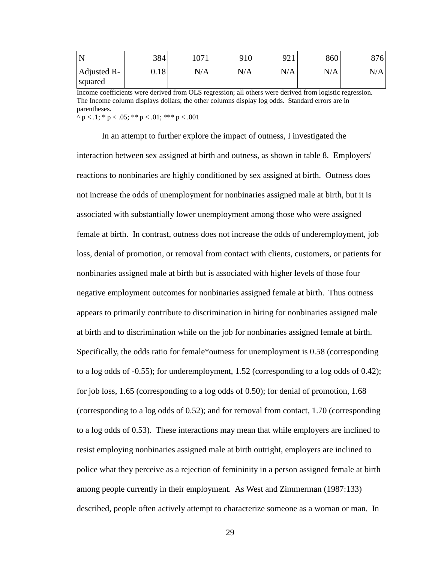| N                      | 384  | 1 $\Omega$ 71 | 910 | 921<br>╯┵┸ | 860 | 876 |
|------------------------|------|---------------|-----|------------|-----|-----|
| Adjusted R-<br>squared | 0.18 | N/A           | N/A | N/A        | N/A | N/A |

Income coefficients were derived from OLS regression; all others were derived from logistic regression. The Income column displays dollars; the other columns display log odds. Standard errors are in parentheses.

 $\land$  p < .1; \* p < .05; \*\* p < .01; \*\*\* p < .001

In an attempt to further explore the impact of outness, I investigated the interaction between sex assigned at birth and outness, as shown in table 8. Employers' reactions to nonbinaries are highly conditioned by sex assigned at birth. Outness does not increase the odds of unemployment for nonbinaries assigned male at birth, but it is associated with substantially lower unemployment among those who were assigned female at birth. In contrast, outness does not increase the odds of underemployment, job loss, denial of promotion, or removal from contact with clients, customers, or patients for nonbinaries assigned male at birth but is associated with higher levels of those four negative employment outcomes for nonbinaries assigned female at birth. Thus outness appears to primarily contribute to discrimination in hiring for nonbinaries assigned male at birth and to discrimination while on the job for nonbinaries assigned female at birth. Specifically, the odds ratio for female\*outness for unemployment is 0.58 (corresponding to a log odds of -0.55); for underemployment, 1.52 (corresponding to a log odds of 0.42); for job loss, 1.65 (corresponding to a log odds of 0.50); for denial of promotion, 1.68 (corresponding to a log odds of 0.52); and for removal from contact, 1.70 (corresponding to a log odds of 0.53). These interactions may mean that while employers are inclined to resist employing nonbinaries assigned male at birth outright, employers are inclined to police what they perceive as a rejection of femininity in a person assigned female at birth among people currently in their employment. As West and Zimmerman (1987:133) described, people often actively attempt to characterize someone as a woman or man. In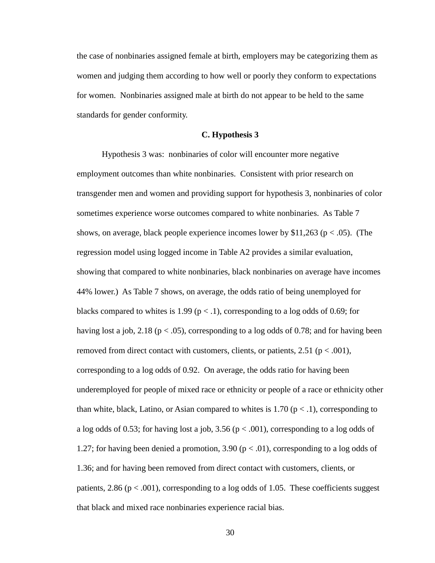the case of nonbinaries assigned female at birth, employers may be categorizing them as women and judging them according to how well or poorly they conform to expectations for women. Nonbinaries assigned male at birth do not appear to be held to the same standards for gender conformity.

#### **C. Hypothesis 3**

Hypothesis 3 was: nonbinaries of color will encounter more negative employment outcomes than white nonbinaries. Consistent with prior research on transgender men and women and providing support for hypothesis 3, nonbinaries of color sometimes experience worse outcomes compared to white nonbinaries. As Table 7 shows, on average, black people experience incomes lower by  $$11,263$  (p < .05). (The regression model using logged income in Table A2 provides a similar evaluation, showing that compared to white nonbinaries, black nonbinaries on average have incomes 44% lower.) As Table 7 shows, on average, the odds ratio of being unemployed for blacks compared to whites is 1.99 ( $p < 0.1$ ), corresponding to a log odds of 0.69; for having lost a job, 2.18 ( $p < .05$ ), corresponding to a log odds of 0.78; and for having been removed from direct contact with customers, clients, or patients,  $2.51$  ( $p < .001$ ), corresponding to a log odds of 0.92. On average, the odds ratio for having been underemployed for people of mixed race or ethnicity or people of a race or ethnicity other than white, black, Latino, or Asian compared to whites is 1.70 ( $p < 0.1$ ), corresponding to a log odds of 0.53; for having lost a job, 3.56 ( $p < .001$ ), corresponding to a log odds of 1.27; for having been denied a promotion, 3.90 ( $p < .01$ ), corresponding to a log odds of 1.36; and for having been removed from direct contact with customers, clients, or patients, 2.86 ( $p < .001$ ), corresponding to a log odds of 1.05. These coefficients suggest that black and mixed race nonbinaries experience racial bias.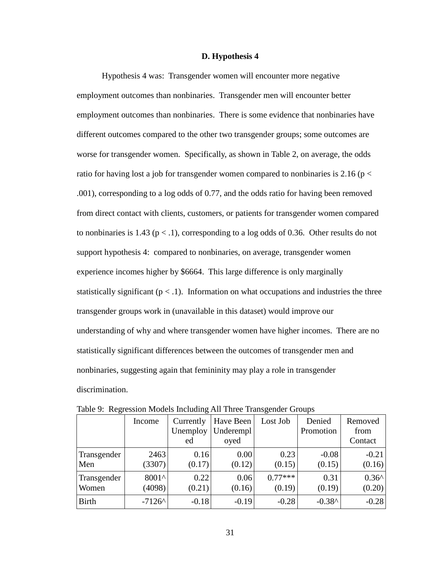## **D. Hypothesis 4**

Hypothesis 4 was: Transgender women will encounter more negative employment outcomes than nonbinaries. Transgender men will encounter better employment outcomes than nonbinaries. There is some evidence that nonbinaries have different outcomes compared to the other two transgender groups; some outcomes are worse for transgender women. Specifically, as shown in Table 2, on average, the odds ratio for having lost a job for transgender women compared to nonbinaries is 2.16 ( $p <$ .001), corresponding to a log odds of 0.77, and the odds ratio for having been removed from direct contact with clients, customers, or patients for transgender women compared to nonbinaries is 1.43 ( $p < 1$ ), corresponding to a log odds of 0.36. Other results do not support hypothesis 4: compared to nonbinaries, on average, transgender women experience incomes higher by \$6664. This large difference is only marginally statistically significant ( $p < 0.1$ ). Information on what occupations and industries the three transgender groups work in (unavailable in this dataset) would improve our understanding of why and where transgender women have higher incomes. There are no statistically significant differences between the outcomes of transgender men and nonbinaries, suggesting again that femininity may play a role in transgender discrimination.

|              | Income   | Currently<br>Unemploy<br>ed | Have Been<br>Underempl<br>oyed | Lost Job  | Denied<br>Promotion | Removed<br>from<br>Contact |
|--------------|----------|-----------------------------|--------------------------------|-----------|---------------------|----------------------------|
| Transgender  | 2463     | 0.16                        | 0.00                           | 0.23      | $-0.08$             | $-0.21$                    |
| Men          | (3307)   | (0.17)                      | (0.12)                         | (0.15)    | (0.15)              | (0.16)                     |
| Transgender  | 8001^    | 0.22                        | 0.06                           | $0.77***$ | 0.31                | $0.36^{\text{A}}$          |
| Women        | (4098)   | (0.21)                      | (0.16)                         | (0.19)    | (0.19)              | (0.20)                     |
| <b>Birth</b> | $-7126^$ | $-0.18$                     | $-0.19$                        | $-0.28$   | $-0.38^$            | $-0.28$                    |

Table 9: Regression Models Including All Three Transgender Groups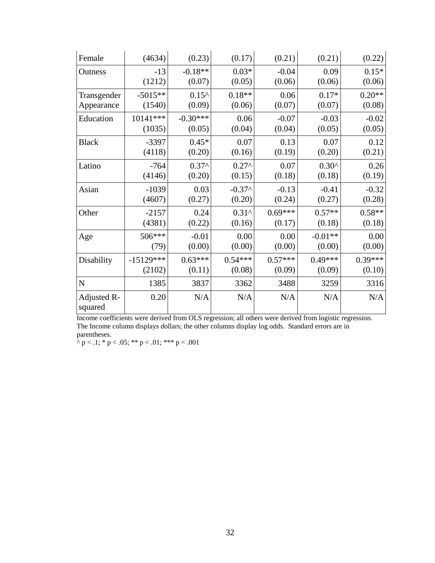| Female                 | (4634)      | (0.23)          | (0.17)          | (0.21)    | (0.21)         | (0.22)    |
|------------------------|-------------|-----------------|-----------------|-----------|----------------|-----------|
| Outness                | $-13$       | $-0.18**$       | $0.03*$         | $-0.04$   | 0.09           | $0.15*$   |
|                        | (1212)      | (0.07)          | (0.05)          | (0.06)    | (0.06)         | (0.06)    |
| Transgender            | $-5015**$   | $0.15^{\wedge}$ | $0.18**$        | 0.06      | $0.17*$        | $0.20**$  |
| Appearance             | (1540)      | (0.09)          | (0.06)          | (0.07)    | (0.07)         | (0.08)    |
| Education              | $10141***$  | $-0.30***$      | 0.06            | $-0.07$   | $-0.03$        | $-0.02$   |
|                        | (1035)      | (0.05)          | (0.04)          | (0.04)    | (0.05)         | (0.05)    |
| <b>Black</b>           | $-3397$     | $0.45*$         | 0.07            | 0.13      | 0.07           | 0.12      |
|                        | (4118)      | (0.20)          | (0.16)          | (0.19)    | (0.20)         | (0.21)    |
| Latino                 | $-764$      | $0.37^$         | $0.27^{\wedge}$ | 0.07      | $0.30^{\circ}$ | 0.26      |
|                        | (4146)      | (0.20)          | (0.15)          | (0.18)    | (0.18)         | (0.19)    |
| Asian                  | $-1039$     | 0.03            | $-0.37^$        | $-0.13$   | $-0.41$        | $-0.32$   |
|                        | (4607)      | (0.27)          | (0.20)          | (0.24)    | (0.27)         | (0.28)    |
| Other                  | $-2157$     | 0.24            | $0.31^$         | $0.69***$ | $0.57**$       | $0.58**$  |
|                        | (4381)      | (0.22)          | (0.16)          | (0.17)    | (0.18)         | (0.18)    |
| Age                    | 506***      | $-0.01$         | 0.00            | 0.00      | $-0.01**$      | 0.00      |
|                        | (79)        | (0.00)          | (0.00)          | (0.00)    | (0.00)         | (0.00)    |
| Disability             | $-15129***$ | $0.63***$       | $0.54***$       | $0.57***$ | $0.49***$      | $0.39***$ |
|                        | (2102)      | (0.11)          | (0.08)          | (0.09)    | (0.09)         | (0.10)    |
| ${\bf N}$              | 1385        | 3837            | 3362            | 3488      | 3259           | 3316      |
| Adjusted R-<br>squared | 0.20        | N/A             | N/A             | N/A       | N/A            | N/A       |

Income coefficients were derived from OLS regression; all others were derived from logistic regression. The Income column displays dollars; the other columns display log odds. Standard errors are in parentheses.

 $\wedge$  p < .1;  $\ast$  p < .05;  $\ast \ast$  p < .01;  $\ast \ast \ast$  p < .001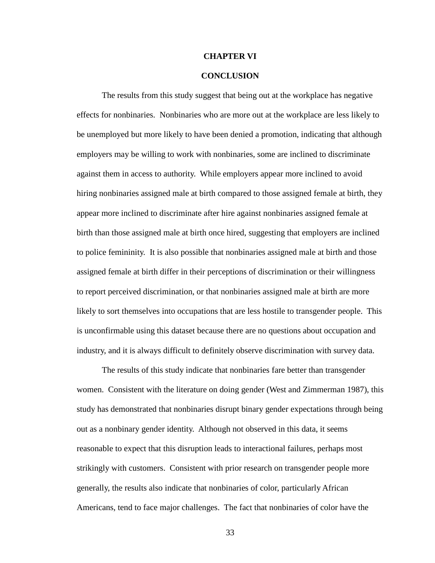### **CHAPTER VI**

## **CONCLUSION**

The results from this study suggest that being out at the workplace has negative effects for nonbinaries. Nonbinaries who are more out at the workplace are less likely to be unemployed but more likely to have been denied a promotion, indicating that although employers may be willing to work with nonbinaries, some are inclined to discriminate against them in access to authority. While employers appear more inclined to avoid hiring nonbinaries assigned male at birth compared to those assigned female at birth, they appear more inclined to discriminate after hire against nonbinaries assigned female at birth than those assigned male at birth once hired, suggesting that employers are inclined to police femininity. It is also possible that nonbinaries assigned male at birth and those assigned female at birth differ in their perceptions of discrimination or their willingness to report perceived discrimination, or that nonbinaries assigned male at birth are more likely to sort themselves into occupations that are less hostile to transgender people. This is unconfirmable using this dataset because there are no questions about occupation and industry, and it is always difficult to definitely observe discrimination with survey data.

The results of this study indicate that nonbinaries fare better than transgender women. Consistent with the literature on doing gender (West and Zimmerman 1987), this study has demonstrated that nonbinaries disrupt binary gender expectations through being out as a nonbinary gender identity. Although not observed in this data, it seems reasonable to expect that this disruption leads to interactional failures, perhaps most strikingly with customers. Consistent with prior research on transgender people more generally, the results also indicate that nonbinaries of color, particularly African Americans, tend to face major challenges. The fact that nonbinaries of color have the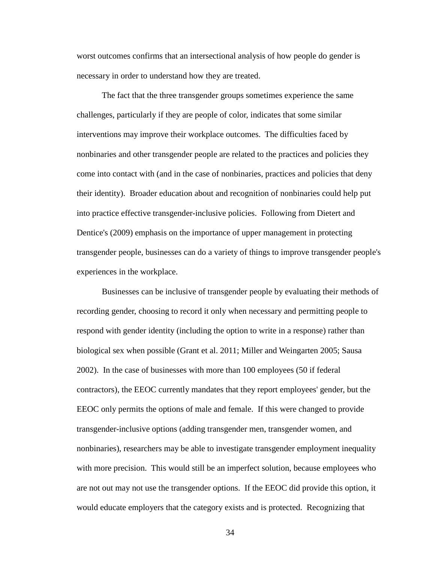worst outcomes confirms that an intersectional analysis of how people do gender is necessary in order to understand how they are treated.

The fact that the three transgender groups sometimes experience the same challenges, particularly if they are people of color, indicates that some similar interventions may improve their workplace outcomes. The difficulties faced by nonbinaries and other transgender people are related to the practices and policies they come into contact with (and in the case of nonbinaries, practices and policies that deny their identity). Broader education about and recognition of nonbinaries could help put into practice effective transgender-inclusive policies. Following from Dietert and Dentice's (2009) emphasis on the importance of upper management in protecting transgender people, businesses can do a variety of things to improve transgender people's experiences in the workplace.

Businesses can be inclusive of transgender people by evaluating their methods of recording gender, choosing to record it only when necessary and permitting people to respond with gender identity (including the option to write in a response) rather than biological sex when possible (Grant et al. 2011; Miller and Weingarten 2005; Sausa 2002). In the case of businesses with more than 100 employees (50 if federal contractors), the EEOC currently mandates that they report employees' gender, but the EEOC only permits the options of male and female. If this were changed to provide transgender-inclusive options (adding transgender men, transgender women, and nonbinaries), researchers may be able to investigate transgender employment inequality with more precision. This would still be an imperfect solution, because employees who are not out may not use the transgender options. If the EEOC did provide this option, it would educate employers that the category exists and is protected. Recognizing that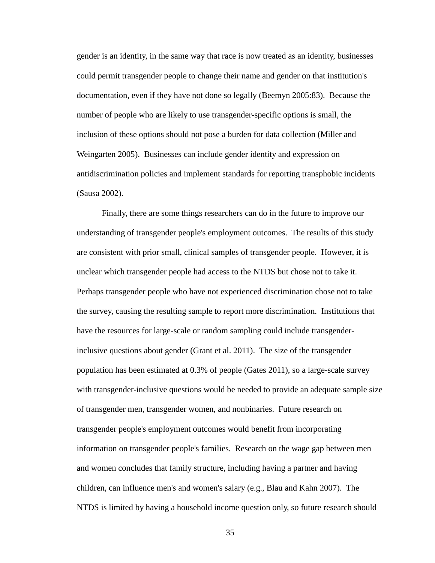gender is an identity, in the same way that race is now treated as an identity, businesses could permit transgender people to change their name and gender on that institution's documentation, even if they have not done so legally (Beemyn 2005:83). Because the number of people who are likely to use transgender-specific options is small, the inclusion of these options should not pose a burden for data collection (Miller and Weingarten 2005). Businesses can include gender identity and expression on antidiscrimination policies and implement standards for reporting transphobic incidents (Sausa 2002).

Finally, there are some things researchers can do in the future to improve our understanding of transgender people's employment outcomes. The results of this study are consistent with prior small, clinical samples of transgender people. However, it is unclear which transgender people had access to the NTDS but chose not to take it. Perhaps transgender people who have not experienced discrimination chose not to take the survey, causing the resulting sample to report more discrimination. Institutions that have the resources for large-scale or random sampling could include transgenderinclusive questions about gender (Grant et al. 2011). The size of the transgender population has been estimated at 0.3% of people (Gates 2011), so a large-scale survey with transgender-inclusive questions would be needed to provide an adequate sample size of transgender men, transgender women, and nonbinaries. Future research on transgender people's employment outcomes would benefit from incorporating information on transgender people's families. Research on the wage gap between men and women concludes that family structure, including having a partner and having children, can influence men's and women's salary (e.g., Blau and Kahn 2007). The NTDS is limited by having a household income question only, so future research should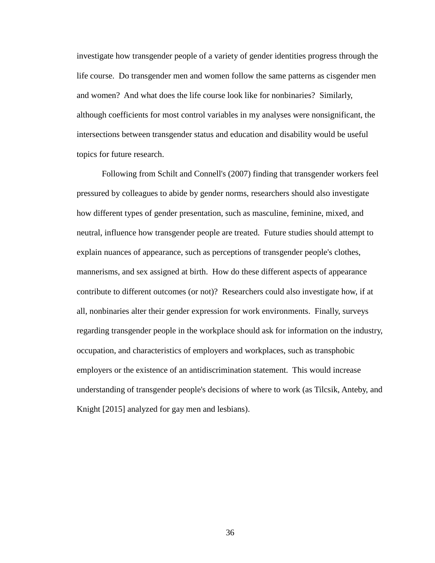investigate how transgender people of a variety of gender identities progress through the life course. Do transgender men and women follow the same patterns as cisgender men and women? And what does the life course look like for nonbinaries? Similarly, although coefficients for most control variables in my analyses were nonsignificant, the intersections between transgender status and education and disability would be useful topics for future research.

Following from Schilt and Connell's (2007) finding that transgender workers feel pressured by colleagues to abide by gender norms, researchers should also investigate how different types of gender presentation, such as masculine, feminine, mixed, and neutral, influence how transgender people are treated. Future studies should attempt to explain nuances of appearance, such as perceptions of transgender people's clothes, mannerisms, and sex assigned at birth. How do these different aspects of appearance contribute to different outcomes (or not)? Researchers could also investigate how, if at all, nonbinaries alter their gender expression for work environments. Finally, surveys regarding transgender people in the workplace should ask for information on the industry, occupation, and characteristics of employers and workplaces, such as transphobic employers or the existence of an antidiscrimination statement. This would increase understanding of transgender people's decisions of where to work (as Tilcsik, Anteby, and Knight [2015] analyzed for gay men and lesbians).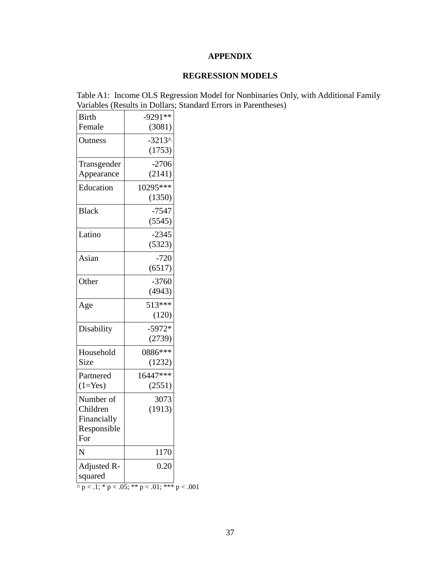## **APPENDIX**

## **REGRESSION MODELS**

Table A1: Income OLS Regression Model for Nonbinaries Only, with Additional Family Variables (Results in Dollars; Standard Errors in Parentheses)

| <b>Birth</b>           | $-9291**$                                           |  |
|------------------------|-----------------------------------------------------|--|
| Female                 | (3081)                                              |  |
| Outness                | $-3213^$                                            |  |
|                        | (1753)                                              |  |
| Transgender            | $-2706$                                             |  |
| Appearance             | (2141)                                              |  |
| Education              | 10295***                                            |  |
|                        | (1350)                                              |  |
| <b>Black</b>           | $-7547$                                             |  |
|                        | (5545)                                              |  |
| Latino                 | $-2345$                                             |  |
|                        | (5323)                                              |  |
| Asian                  | $-720$                                              |  |
|                        | (6517)                                              |  |
| Other                  | $-3760$                                             |  |
|                        | (4943)                                              |  |
| Age                    | 513***                                              |  |
|                        | (120)                                               |  |
| Disability             | $-5972*$                                            |  |
|                        | (2739)                                              |  |
| Household              | 0886***                                             |  |
| Size                   | (1232)                                              |  |
| Partnered              | 16447***                                            |  |
| $(1=Yes)$              | (2551)                                              |  |
| Number of              | 3073                                                |  |
| Children               | (1913)                                              |  |
| Financially            |                                                     |  |
| Responsible            |                                                     |  |
| For                    |                                                     |  |
| N                      | 1170                                                |  |
| Adjusted R-<br>squared | 0.20                                                |  |
|                        | $\land$ p < .1; * p < .05; ** p < .01; *** p < .001 |  |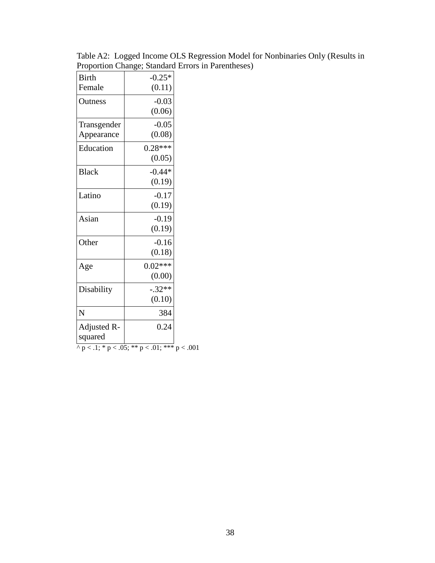Table A2: Logged Income OLS Regression Model for Nonbinaries Only (Results in Proportion Change; Standard Errors in Parentheses)

| <b>Birth</b>                                              | $-0.25*$  |  |  |  |  |
|-----------------------------------------------------------|-----------|--|--|--|--|
| Female                                                    | (0.11)    |  |  |  |  |
| Outness                                                   | $-0.03$   |  |  |  |  |
|                                                           | (0.06)    |  |  |  |  |
| Transgender                                               | $-0.05$   |  |  |  |  |
| Appearance                                                | (0.08)    |  |  |  |  |
| Education                                                 | $0.28***$ |  |  |  |  |
|                                                           | (0.05)    |  |  |  |  |
| <b>Black</b>                                              | $-0.44*$  |  |  |  |  |
|                                                           | (0.19)    |  |  |  |  |
| Latino                                                    | $-0.17$   |  |  |  |  |
|                                                           | (0.19)    |  |  |  |  |
| Asian                                                     | $-0.19$   |  |  |  |  |
|                                                           | (0.19)    |  |  |  |  |
| Other                                                     | $-0.16$   |  |  |  |  |
|                                                           | (0.18)    |  |  |  |  |
| Age                                                       | $0.02***$ |  |  |  |  |
|                                                           | (0.00)    |  |  |  |  |
| Disability                                                | $-.32**$  |  |  |  |  |
|                                                           | (0.10)    |  |  |  |  |
| N                                                         | 384       |  |  |  |  |
| Adjusted R-                                               | 0.24      |  |  |  |  |
| squared                                                   |           |  |  |  |  |
| $\sqrt{p} < 0.1; * p < 0.05; ** p < 0.01; ** * p < 0.001$ |           |  |  |  |  |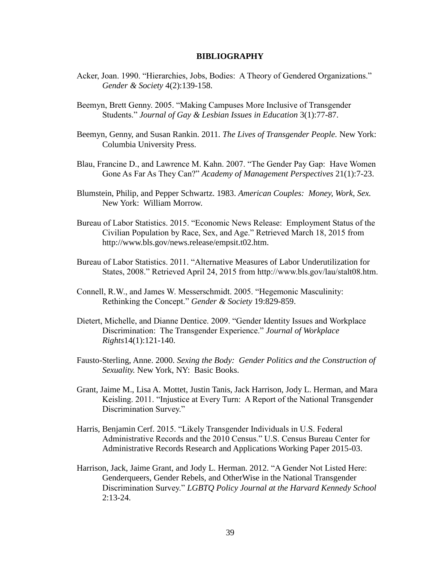## **BIBLIOGRAPHY**

- Acker, Joan. 1990. "Hierarchies, Jobs, Bodies: A Theory of Gendered Organizations." *Gender & Society* 4(2):139-158.
- Beemyn, Brett Genny. 2005. "Making Campuses More Inclusive of Transgender Students." *Journal of Gay & Lesbian Issues in Education* 3(1):77-87.
- Beemyn, Genny, and Susan Rankin. 2011. *The Lives of Transgender People.* New York: Columbia University Press.
- Blau, Francine D., and Lawrence M. Kahn. 2007. "The Gender Pay Gap: Have Women Gone As Far As They Can?" *Academy of Management Perspectives* 21(1):7-23.
- Blumstein, Philip, and Pepper Schwartz. 1983. *American Couples: Money, Work, Sex.*  New York: William Morrow.
- Bureau of Labor Statistics. 2015. "Economic News Release: Employment Status of the Civilian Population by Race, Sex, and Age." Retrieved March 18, 2015 from http://www.bls.gov/news.release/empsit.t02.htm.
- Bureau of Labor Statistics. 2011. "Alternative Measures of Labor Underutilization for States, 2008." Retrieved April 24, 2015 from http://www.bls.gov/lau/stalt08.htm.
- Connell, R.W., and James W. Messerschmidt. 2005. "Hegemonic Masculinity: Rethinking the Concept." *Gender & Society* 19:829-859.
- Dietert, Michelle, and Dianne Dentice. 2009. "Gender Identity Issues and Workplace Discrimination: The Transgender Experience." *Journal of Workplace Rights*14(1):121-140.
- Fausto-Sterling, Anne. 2000. *Sexing the Body: Gender Politics and the Construction of Sexuality.* New York, NY: Basic Books.
- Grant, Jaime M., Lisa A. Mottet, Justin Tanis, Jack Harrison, Jody L. Herman, and Mara Keisling. 2011. "Injustice at Every Turn: A Report of the National Transgender Discrimination Survey."
- Harris, Benjamin Cerf. 2015. "Likely Transgender Individuals in U.S. Federal Administrative Records and the 2010 Census." U.S. Census Bureau Center for Administrative Records Research and Applications Working Paper 2015-03.
- Harrison, Jack, Jaime Grant, and Jody L. Herman. 2012. "A Gender Not Listed Here: Genderqueers, Gender Rebels, and OtherWise in the National Transgender Discrimination Survey." *LGBTQ Policy Journal at the Harvard Kennedy School*  2:13-24.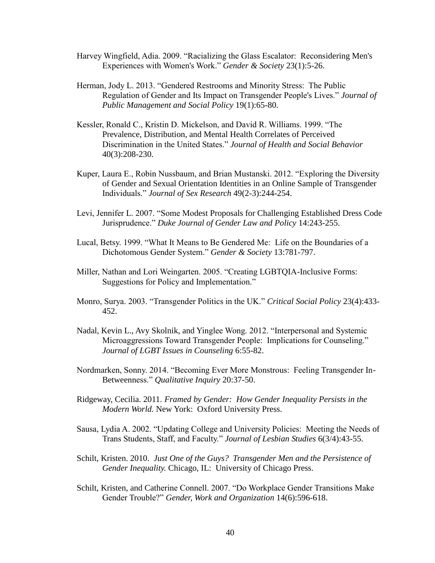- Harvey Wingfield, Adia. 2009. "Racializing the Glass Escalator: Reconsidering Men's Experiences with Women's Work." *Gender & Society* 23(1):5-26.
- Herman, Jody L. 2013. "Gendered Restrooms and Minority Stress: The Public Regulation of Gender and Its Impact on Transgender People's Lives." *Journal of Public Management and Social Policy* 19(1):65-80.
- Kessler, Ronald C., Kristin D. Mickelson, and David R. Williams. 1999. "The Prevalence, Distribution, and Mental Health Correlates of Perceived Discrimination in the United States." *Journal of Health and Social Behavior*  40(3):208-230.
- Kuper, Laura E., Robin Nussbaum, and Brian Mustanski. 2012. "Exploring the Diversity of Gender and Sexual Orientation Identities in an Online Sample of Transgender Individuals." *Journal of Sex Research* 49(2-3):244-254.
- Levi, Jennifer L. 2007. "Some Modest Proposals for Challenging Established Dress Code Jurisprudence." *Duke Journal of Gender Law and Policy* 14:243-255.
- Lucal, Betsy. 1999. "What It Means to Be Gendered Me: Life on the Boundaries of a Dichotomous Gender System." *Gender & Society* 13:781-797.
- Miller, Nathan and Lori Weingarten. 2005. "Creating LGBTQIA-Inclusive Forms: Suggestions for Policy and Implementation."
- Monro, Surya. 2003. "Transgender Politics in the UK." *Critical Social Policy* 23(4):433- 452.
- Nadal, Kevin L., Avy Skolnik, and Yinglee Wong. 2012. "Interpersonal and Systemic Microaggressions Toward Transgender People: Implications for Counseling." *Journal of LGBT Issues in Counseling* 6:55-82.
- Nordmarken, Sonny. 2014. "Becoming Ever More Monstrous: Feeling Transgender In-Betweenness." *Qualitative Inquiry* 20:37-50.
- Ridgeway, Cecilia. 2011. *Framed by Gender: How Gender Inequality Persists in the Modern World.* New York: Oxford University Press.
- Sausa, Lydia A. 2002. "Updating College and University Policies: Meeting the Needs of Trans Students, Staff, and Faculty." *Journal of Lesbian Studies* 6(3/4):43-55.
- Schilt, Kristen. 2010. *Just One of the Guys? Transgender Men and the Persistence of Gender Inequality.* Chicago, IL: University of Chicago Press.
- Schilt, Kristen, and Catherine Connell. 2007. "Do Workplace Gender Transitions Make Gender Trouble?" *Gender, Work and Organization* 14(6):596-618.